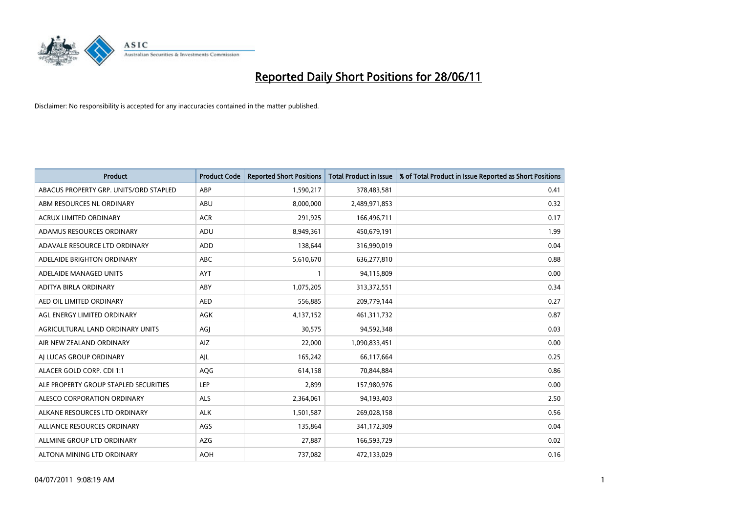

| <b>Product</b>                         | <b>Product Code</b> | <b>Reported Short Positions</b> | <b>Total Product in Issue</b> | % of Total Product in Issue Reported as Short Positions |
|----------------------------------------|---------------------|---------------------------------|-------------------------------|---------------------------------------------------------|
| ABACUS PROPERTY GRP. UNITS/ORD STAPLED | ABP                 | 1,590,217                       | 378,483,581                   | 0.41                                                    |
| ABM RESOURCES NL ORDINARY              | ABU                 | 8,000,000                       | 2,489,971,853                 | 0.32                                                    |
| <b>ACRUX LIMITED ORDINARY</b>          | <b>ACR</b>          | 291,925                         | 166,496,711                   | 0.17                                                    |
| ADAMUS RESOURCES ORDINARY              | ADU                 | 8,949,361                       | 450,679,191                   | 1.99                                                    |
| ADAVALE RESOURCE LTD ORDINARY          | <b>ADD</b>          | 138,644                         | 316,990,019                   | 0.04                                                    |
| ADELAIDE BRIGHTON ORDINARY             | <b>ABC</b>          | 5,610,670                       | 636,277,810                   | 0.88                                                    |
| ADELAIDE MANAGED UNITS                 | <b>AYT</b>          | $\mathbf{1}$                    | 94,115,809                    | 0.00                                                    |
| ADITYA BIRLA ORDINARY                  | ABY                 | 1,075,205                       | 313,372,551                   | 0.34                                                    |
| AED OIL LIMITED ORDINARY               | <b>AED</b>          | 556,885                         | 209,779,144                   | 0.27                                                    |
| AGL ENERGY LIMITED ORDINARY            | <b>AGK</b>          | 4,137,152                       | 461,311,732                   | 0.87                                                    |
| AGRICULTURAL LAND ORDINARY UNITS       | AGJ                 | 30,575                          | 94,592,348                    | 0.03                                                    |
| AIR NEW ZEALAND ORDINARY               | AIZ                 | 22,000                          | 1,090,833,451                 | 0.00                                                    |
| AI LUCAS GROUP ORDINARY                | AJL                 | 165,242                         | 66,117,664                    | 0.25                                                    |
| ALACER GOLD CORP. CDI 1:1              | AQG                 | 614,158                         | 70,844,884                    | 0.86                                                    |
| ALE PROPERTY GROUP STAPLED SECURITIES  | <b>LEP</b>          | 2,899                           | 157,980,976                   | 0.00                                                    |
| ALESCO CORPORATION ORDINARY            | ALS                 | 2,364,061                       | 94,193,403                    | 2.50                                                    |
| ALKANE RESOURCES LTD ORDINARY          | <b>ALK</b>          | 1,501,587                       | 269,028,158                   | 0.56                                                    |
| ALLIANCE RESOURCES ORDINARY            | AGS                 | 135,864                         | 341,172,309                   | 0.04                                                    |
| ALLMINE GROUP LTD ORDINARY             | <b>AZG</b>          | 27,887                          | 166,593,729                   | 0.02                                                    |
| ALTONA MINING LTD ORDINARY             | <b>AOH</b>          | 737,082                         | 472,133,029                   | 0.16                                                    |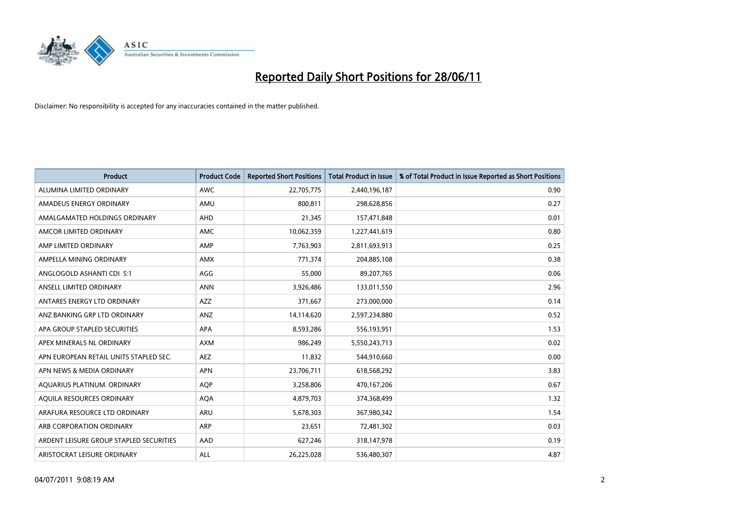

| <b>Product</b>                          | <b>Product Code</b> | <b>Reported Short Positions</b> | <b>Total Product in Issue</b> | % of Total Product in Issue Reported as Short Positions |
|-----------------------------------------|---------------------|---------------------------------|-------------------------------|---------------------------------------------------------|
| ALUMINA LIMITED ORDINARY                | <b>AWC</b>          | 22,705,775                      | 2,440,196,187                 | 0.90                                                    |
| AMADEUS ENERGY ORDINARY                 | AMU                 | 800.811                         | 298,628,856                   | 0.27                                                    |
| AMALGAMATED HOLDINGS ORDINARY           | <b>AHD</b>          | 21,345                          | 157,471,848                   | 0.01                                                    |
| AMCOR LIMITED ORDINARY                  | AMC                 | 10,062,359                      | 1,227,441,619                 | 0.80                                                    |
| AMP LIMITED ORDINARY                    | AMP                 | 7,763,903                       | 2,811,693,913                 | 0.25                                                    |
| AMPELLA MINING ORDINARY                 | AMX                 | 771,374                         | 204,885,108                   | 0.38                                                    |
| ANGLOGOLD ASHANTI CDI 5:1               | AGG                 | 55.000                          | 89,207,765                    | 0.06                                                    |
| ANSELL LIMITED ORDINARY                 | <b>ANN</b>          | 3,926,486                       | 133,011,550                   | 2.96                                                    |
| ANTARES ENERGY LTD ORDINARY             | <b>AZZ</b>          | 371,667                         | 273,000,000                   | 0.14                                                    |
| ANZ BANKING GRP LTD ORDINARY            | ANZ                 | 14,114,620                      | 2,597,234,880                 | 0.52                                                    |
| APA GROUP STAPLED SECURITIES            | APA                 | 8,593,286                       | 556,193,951                   | 1.53                                                    |
| APEX MINERALS NL ORDINARY               | <b>AXM</b>          | 986,249                         | 5,550,243,713                 | 0.02                                                    |
| APN EUROPEAN RETAIL UNITS STAPLED SEC.  | <b>AEZ</b>          | 11,832                          | 544,910,660                   | 0.00                                                    |
| APN NEWS & MEDIA ORDINARY               | <b>APN</b>          | 23,706,711                      | 618,568,292                   | 3.83                                                    |
| AQUARIUS PLATINUM. ORDINARY             | <b>AOP</b>          | 3,258,806                       | 470,167,206                   | 0.67                                                    |
| AQUILA RESOURCES ORDINARY               | <b>AQA</b>          | 4,879,703                       | 374,368,499                   | 1.32                                                    |
| ARAFURA RESOURCE LTD ORDINARY           | <b>ARU</b>          | 5,678,303                       | 367,980,342                   | 1.54                                                    |
| ARB CORPORATION ORDINARY                | <b>ARP</b>          | 23,651                          | 72,481,302                    | 0.03                                                    |
| ARDENT LEISURE GROUP STAPLED SECURITIES | AAD                 | 627,246                         | 318,147,978                   | 0.19                                                    |
| ARISTOCRAT LEISURE ORDINARY             | ALL                 | 26,225,028                      | 536,480,307                   | 4.87                                                    |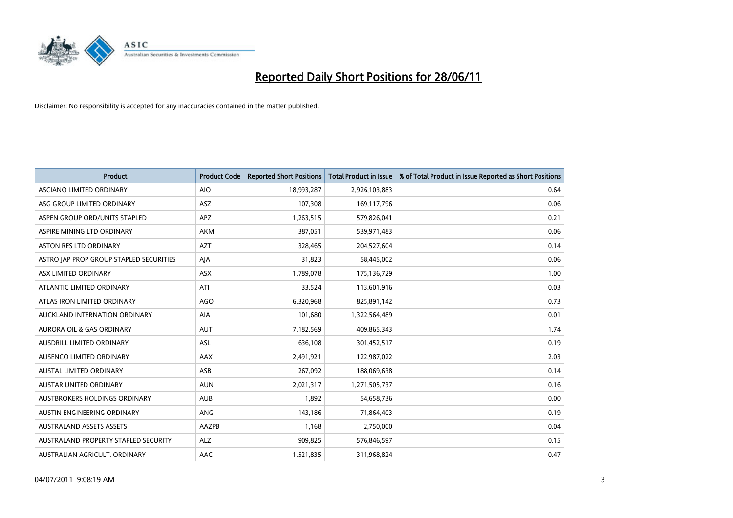

| <b>Product</b>                          | <b>Product Code</b> | <b>Reported Short Positions</b> | <b>Total Product in Issue</b> | % of Total Product in Issue Reported as Short Positions |
|-----------------------------------------|---------------------|---------------------------------|-------------------------------|---------------------------------------------------------|
| ASCIANO LIMITED ORDINARY                | <b>AIO</b>          | 18,993,287                      | 2,926,103,883                 | 0.64                                                    |
| ASG GROUP LIMITED ORDINARY              | ASZ                 | 107,308                         | 169,117,796                   | 0.06                                                    |
| ASPEN GROUP ORD/UNITS STAPLED           | <b>APZ</b>          | 1,263,515                       | 579,826,041                   | 0.21                                                    |
| ASPIRE MINING LTD ORDINARY              | <b>AKM</b>          | 387,051                         | 539,971,483                   | 0.06                                                    |
| <b>ASTON RES LTD ORDINARY</b>           | <b>AZT</b>          | 328,465                         | 204,527,604                   | 0.14                                                    |
| ASTRO JAP PROP GROUP STAPLED SECURITIES | AJA                 | 31,823                          | 58,445,002                    | 0.06                                                    |
| ASX LIMITED ORDINARY                    | ASX                 | 1,789,078                       | 175,136,729                   | 1.00                                                    |
| ATLANTIC LIMITED ORDINARY               | ATI                 | 33,524                          | 113,601,916                   | 0.03                                                    |
| ATLAS IRON LIMITED ORDINARY             | <b>AGO</b>          | 6,320,968                       | 825,891,142                   | 0.73                                                    |
| AUCKLAND INTERNATION ORDINARY           | AIA                 | 101,680                         | 1,322,564,489                 | 0.01                                                    |
| AURORA OIL & GAS ORDINARY               | AUT                 | 7,182,569                       | 409,865,343                   | 1.74                                                    |
| AUSDRILL LIMITED ORDINARY               | <b>ASL</b>          | 636,108                         | 301,452,517                   | 0.19                                                    |
| AUSENCO LIMITED ORDINARY                | AAX                 | 2,491,921                       | 122,987,022                   | 2.03                                                    |
| <b>AUSTAL LIMITED ORDINARY</b>          | ASB                 | 267,092                         | 188,069,638                   | 0.14                                                    |
| AUSTAR UNITED ORDINARY                  | <b>AUN</b>          | 2,021,317                       | 1,271,505,737                 | 0.16                                                    |
| AUSTBROKERS HOLDINGS ORDINARY           | <b>AUB</b>          | 1,892                           | 54,658,736                    | 0.00                                                    |
| AUSTIN ENGINEERING ORDINARY             | ANG                 | 143,186                         | 71,864,403                    | 0.19                                                    |
| <b>AUSTRALAND ASSETS ASSETS</b>         | <b>AAZPB</b>        | 1.168                           | 2,750,000                     | 0.04                                                    |
| AUSTRALAND PROPERTY STAPLED SECURITY    | <b>ALZ</b>          | 909,825                         | 576,846,597                   | 0.15                                                    |
| AUSTRALIAN AGRICULT. ORDINARY           | AAC                 | 1,521,835                       | 311,968,824                   | 0.47                                                    |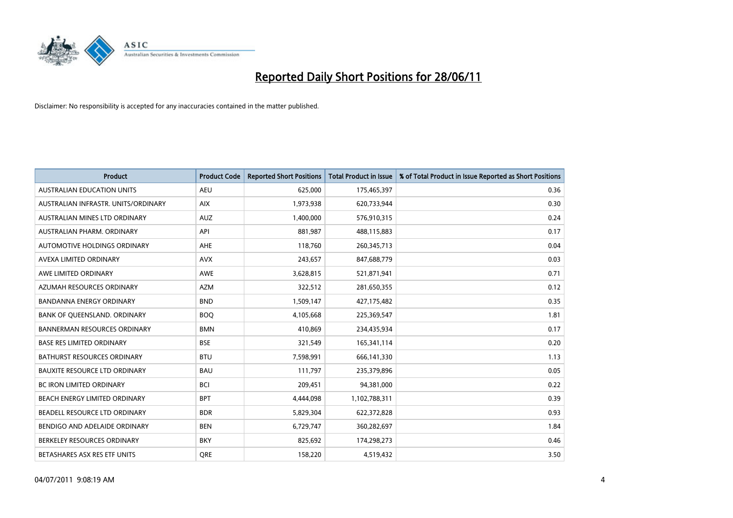

| <b>Product</b>                       | <b>Product Code</b> | <b>Reported Short Positions</b> | <b>Total Product in Issue</b> | % of Total Product in Issue Reported as Short Positions |
|--------------------------------------|---------------------|---------------------------------|-------------------------------|---------------------------------------------------------|
| <b>AUSTRALIAN EDUCATION UNITS</b>    | <b>AEU</b>          | 625,000                         | 175,465,397                   | 0.36                                                    |
| AUSTRALIAN INFRASTR. UNITS/ORDINARY  | <b>AIX</b>          | 1,973,938                       | 620,733,944                   | 0.30                                                    |
| AUSTRALIAN MINES LTD ORDINARY        | <b>AUZ</b>          | 1,400,000                       | 576,910,315                   | 0.24                                                    |
| AUSTRALIAN PHARM. ORDINARY           | API                 | 881,987                         | 488,115,883                   | 0.17                                                    |
| AUTOMOTIVE HOLDINGS ORDINARY         | AHE                 | 118,760                         | 260,345,713                   | 0.04                                                    |
| AVEXA LIMITED ORDINARY               | <b>AVX</b>          | 243,657                         | 847,688,779                   | 0.03                                                    |
| AWE LIMITED ORDINARY                 | <b>AWE</b>          | 3,628,815                       | 521,871,941                   | 0.71                                                    |
| AZUMAH RESOURCES ORDINARY            | <b>AZM</b>          | 322,512                         | 281,650,355                   | 0.12                                                    |
| <b>BANDANNA ENERGY ORDINARY</b>      | <b>BND</b>          | 1,509,147                       | 427,175,482                   | 0.35                                                    |
| BANK OF QUEENSLAND. ORDINARY         | <b>BOQ</b>          | 4,105,668                       | 225,369,547                   | 1.81                                                    |
| <b>BANNERMAN RESOURCES ORDINARY</b>  | <b>BMN</b>          | 410,869                         | 234,435,934                   | 0.17                                                    |
| <b>BASE RES LIMITED ORDINARY</b>     | <b>BSE</b>          | 321,549                         | 165,341,114                   | 0.20                                                    |
| BATHURST RESOURCES ORDINARY          | <b>BTU</b>          | 7,598,991                       | 666,141,330                   | 1.13                                                    |
| <b>BAUXITE RESOURCE LTD ORDINARY</b> | <b>BAU</b>          | 111,797                         | 235,379,896                   | 0.05                                                    |
| <b>BC IRON LIMITED ORDINARY</b>      | <b>BCI</b>          | 209,451                         | 94,381,000                    | 0.22                                                    |
| BEACH ENERGY LIMITED ORDINARY        | <b>BPT</b>          | 4,444,098                       | 1,102,788,311                 | 0.39                                                    |
| BEADELL RESOURCE LTD ORDINARY        | <b>BDR</b>          | 5,829,304                       | 622,372,828                   | 0.93                                                    |
| BENDIGO AND ADELAIDE ORDINARY        | <b>BEN</b>          | 6,729,747                       | 360,282,697                   | 1.84                                                    |
| BERKELEY RESOURCES ORDINARY          | <b>BKY</b>          | 825,692                         | 174,298,273                   | 0.46                                                    |
| BETASHARES ASX RES ETF UNITS         | <b>ORE</b>          | 158,220                         | 4,519,432                     | 3.50                                                    |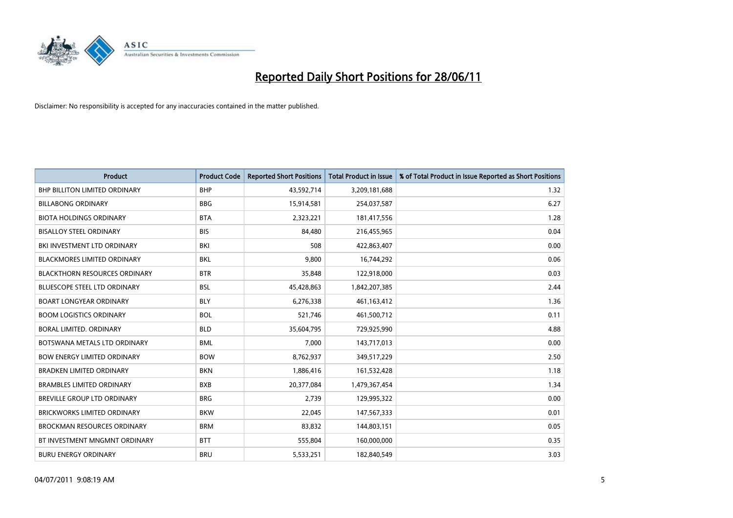

| <b>Product</b>                       | <b>Product Code</b> | <b>Reported Short Positions</b> | <b>Total Product in Issue</b> | % of Total Product in Issue Reported as Short Positions |
|--------------------------------------|---------------------|---------------------------------|-------------------------------|---------------------------------------------------------|
| <b>BHP BILLITON LIMITED ORDINARY</b> | <b>BHP</b>          | 43,592,714                      | 3,209,181,688                 | 1.32                                                    |
| <b>BILLABONG ORDINARY</b>            | <b>BBG</b>          | 15,914,581                      | 254,037,587                   | 6.27                                                    |
| <b>BIOTA HOLDINGS ORDINARY</b>       | <b>BTA</b>          | 2,323,221                       | 181,417,556                   | 1.28                                                    |
| <b>BISALLOY STEEL ORDINARY</b>       | <b>BIS</b>          | 84,480                          | 216,455,965                   | 0.04                                                    |
| BKI INVESTMENT LTD ORDINARY          | BKI                 | 508                             | 422,863,407                   | 0.00                                                    |
| <b>BLACKMORES LIMITED ORDINARY</b>   | <b>BKL</b>          | 9,800                           | 16,744,292                    | 0.06                                                    |
| <b>BLACKTHORN RESOURCES ORDINARY</b> | <b>BTR</b>          | 35,848                          | 122,918,000                   | 0.03                                                    |
| BLUESCOPE STEEL LTD ORDINARY         | <b>BSL</b>          | 45,428,863                      | 1,842,207,385                 | 2.44                                                    |
| <b>BOART LONGYEAR ORDINARY</b>       | <b>BLY</b>          | 6,276,338                       | 461,163,412                   | 1.36                                                    |
| <b>BOOM LOGISTICS ORDINARY</b>       | <b>BOL</b>          | 521,746                         | 461,500,712                   | 0.11                                                    |
| BORAL LIMITED. ORDINARY              | <b>BLD</b>          | 35,604,795                      | 729,925,990                   | 4.88                                                    |
| BOTSWANA METALS LTD ORDINARY         | <b>BML</b>          | 7,000                           | 143,717,013                   | 0.00                                                    |
| <b>BOW ENERGY LIMITED ORDINARY</b>   | <b>BOW</b>          | 8,762,937                       | 349,517,229                   | 2.50                                                    |
| <b>BRADKEN LIMITED ORDINARY</b>      | <b>BKN</b>          | 1,886,416                       | 161,532,428                   | 1.18                                                    |
| <b>BRAMBLES LIMITED ORDINARY</b>     | <b>BXB</b>          | 20,377,084                      | 1,479,367,454                 | 1.34                                                    |
| BREVILLE GROUP LTD ORDINARY          | <b>BRG</b>          | 2,739                           | 129,995,322                   | 0.00                                                    |
| BRICKWORKS LIMITED ORDINARY          | <b>BKW</b>          | 22,045                          | 147,567,333                   | 0.01                                                    |
| <b>BROCKMAN RESOURCES ORDINARY</b>   | <b>BRM</b>          | 83,832                          | 144,803,151                   | 0.05                                                    |
| BT INVESTMENT MNGMNT ORDINARY        | <b>BTT</b>          | 555,804                         | 160,000,000                   | 0.35                                                    |
| <b>BURU ENERGY ORDINARY</b>          | <b>BRU</b>          | 5,533,251                       | 182,840,549                   | 3.03                                                    |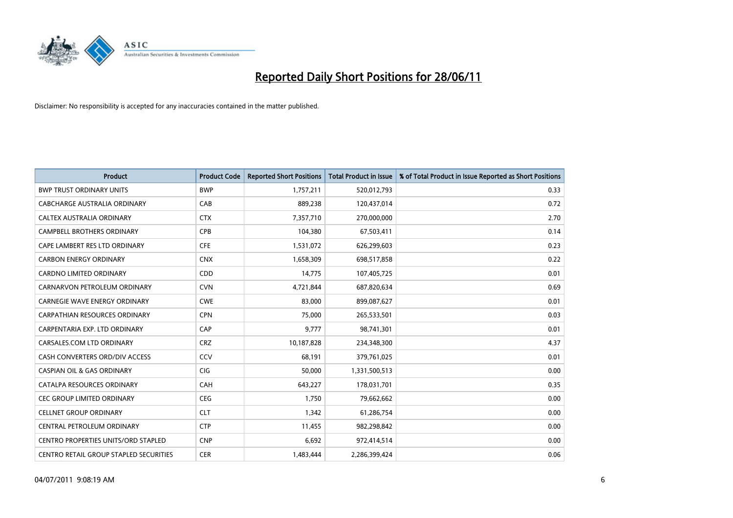

| <b>Product</b>                                | <b>Product Code</b> | <b>Reported Short Positions</b> | <b>Total Product in Issue</b> | % of Total Product in Issue Reported as Short Positions |
|-----------------------------------------------|---------------------|---------------------------------|-------------------------------|---------------------------------------------------------|
| <b>BWP TRUST ORDINARY UNITS</b>               | <b>BWP</b>          | 1,757,211                       | 520,012,793                   | 0.33                                                    |
| <b>CABCHARGE AUSTRALIA ORDINARY</b>           | CAB                 | 889,238                         | 120,437,014                   | 0.72                                                    |
| CALTEX AUSTRALIA ORDINARY                     | <b>CTX</b>          | 7,357,710                       | 270,000,000                   | 2.70                                                    |
| CAMPBELL BROTHERS ORDINARY                    | <b>CPB</b>          | 104,380                         | 67,503,411                    | 0.14                                                    |
| CAPE LAMBERT RES LTD ORDINARY                 | <b>CFE</b>          | 1,531,072                       | 626,299,603                   | 0.23                                                    |
| <b>CARBON ENERGY ORDINARY</b>                 | <b>CNX</b>          | 1,658,309                       | 698,517,858                   | 0.22                                                    |
| <b>CARDNO LIMITED ORDINARY</b>                | CDD                 | 14.775                          | 107,405,725                   | 0.01                                                    |
| CARNARVON PETROLEUM ORDINARY                  | <b>CVN</b>          | 4,721,844                       | 687,820,634                   | 0.69                                                    |
| CARNEGIE WAVE ENERGY ORDINARY                 | <b>CWE</b>          | 83,000                          | 899,087,627                   | 0.01                                                    |
| <b>CARPATHIAN RESOURCES ORDINARY</b>          | <b>CPN</b>          | 75,000                          | 265,533,501                   | 0.03                                                    |
| CARPENTARIA EXP. LTD ORDINARY                 | CAP                 | 9,777                           | 98,741,301                    | 0.01                                                    |
| CARSALES.COM LTD ORDINARY                     | <b>CRZ</b>          | 10,187,828                      | 234,348,300                   | 4.37                                                    |
| CASH CONVERTERS ORD/DIV ACCESS                | CCV                 | 68.191                          | 379,761,025                   | 0.01                                                    |
| <b>CASPIAN OIL &amp; GAS ORDINARY</b>         | <b>CIG</b>          | 50.000                          | 1,331,500,513                 | 0.00                                                    |
| CATALPA RESOURCES ORDINARY                    | CAH                 | 643,227                         | 178,031,701                   | 0.35                                                    |
| CEC GROUP LIMITED ORDINARY                    | <b>CEG</b>          | 1,750                           | 79,662,662                    | 0.00                                                    |
| <b>CELLNET GROUP ORDINARY</b>                 | <b>CLT</b>          | 1,342                           | 61,286,754                    | 0.00                                                    |
| CENTRAL PETROLEUM ORDINARY                    | <b>CTP</b>          | 11,455                          | 982,298,842                   | 0.00                                                    |
| <b>CENTRO PROPERTIES UNITS/ORD STAPLED</b>    | <b>CNP</b>          | 6,692                           | 972,414,514                   | 0.00                                                    |
| <b>CENTRO RETAIL GROUP STAPLED SECURITIES</b> | <b>CER</b>          | 1,483,444                       | 2,286,399,424                 | 0.06                                                    |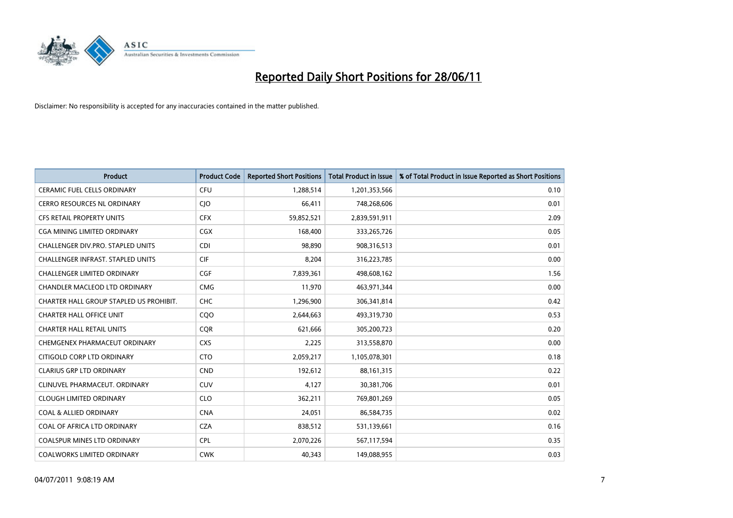

| <b>Product</b>                           | <b>Product Code</b> | <b>Reported Short Positions</b> | <b>Total Product in Issue</b> | % of Total Product in Issue Reported as Short Positions |
|------------------------------------------|---------------------|---------------------------------|-------------------------------|---------------------------------------------------------|
| <b>CERAMIC FUEL CELLS ORDINARY</b>       | <b>CFU</b>          | 1,288,514                       | 1,201,353,566                 | 0.10                                                    |
| CERRO RESOURCES NL ORDINARY              | $C$ ]O              | 66,411                          | 748,268,606                   | 0.01                                                    |
| CFS RETAIL PROPERTY UNITS                | <b>CFX</b>          | 59,852,521                      | 2,839,591,911                 | 2.09                                                    |
| <b>CGA MINING LIMITED ORDINARY</b>       | CGX                 | 168,400                         | 333,265,726                   | 0.05                                                    |
| CHALLENGER DIV.PRO. STAPLED UNITS        | <b>CDI</b>          | 98,890                          | 908,316,513                   | 0.01                                                    |
| <b>CHALLENGER INFRAST, STAPLED UNITS</b> | <b>CIF</b>          | 8,204                           | 316,223,785                   | 0.00                                                    |
| <b>CHALLENGER LIMITED ORDINARY</b>       | <b>CGF</b>          | 7,839,361                       | 498,608,162                   | 1.56                                                    |
| CHANDLER MACLEOD LTD ORDINARY            | <b>CMG</b>          | 11,970                          | 463,971,344                   | 0.00                                                    |
| CHARTER HALL GROUP STAPLED US PROHIBIT.  | <b>CHC</b>          | 1,296,900                       | 306,341,814                   | 0.42                                                    |
| <b>CHARTER HALL OFFICE UNIT</b>          | CQO                 | 2,644,663                       | 493,319,730                   | 0.53                                                    |
| <b>CHARTER HALL RETAIL UNITS</b>         | <b>CQR</b>          | 621,666                         | 305,200,723                   | 0.20                                                    |
| CHEMGENEX PHARMACEUT ORDINARY            | <b>CXS</b>          | 2,225                           | 313,558,870                   | 0.00                                                    |
| CITIGOLD CORP LTD ORDINARY               | <b>CTO</b>          | 2,059,217                       | 1,105,078,301                 | 0.18                                                    |
| <b>CLARIUS GRP LTD ORDINARY</b>          | <b>CND</b>          | 192,612                         | 88,161,315                    | 0.22                                                    |
| CLINUVEL PHARMACEUT, ORDINARY            | CUV                 | 4,127                           | 30,381,706                    | 0.01                                                    |
| <b>CLOUGH LIMITED ORDINARY</b>           | <b>CLO</b>          | 362,211                         | 769,801,269                   | 0.05                                                    |
| <b>COAL &amp; ALLIED ORDINARY</b>        | <b>CNA</b>          | 24,051                          | 86,584,735                    | 0.02                                                    |
| COAL OF AFRICA LTD ORDINARY              | <b>CZA</b>          | 838,512                         | 531,139,661                   | 0.16                                                    |
| <b>COALSPUR MINES LTD ORDINARY</b>       | <b>CPL</b>          | 2,070,226                       | 567,117,594                   | 0.35                                                    |
| <b>COALWORKS LIMITED ORDINARY</b>        | <b>CWK</b>          | 40,343                          | 149,088,955                   | 0.03                                                    |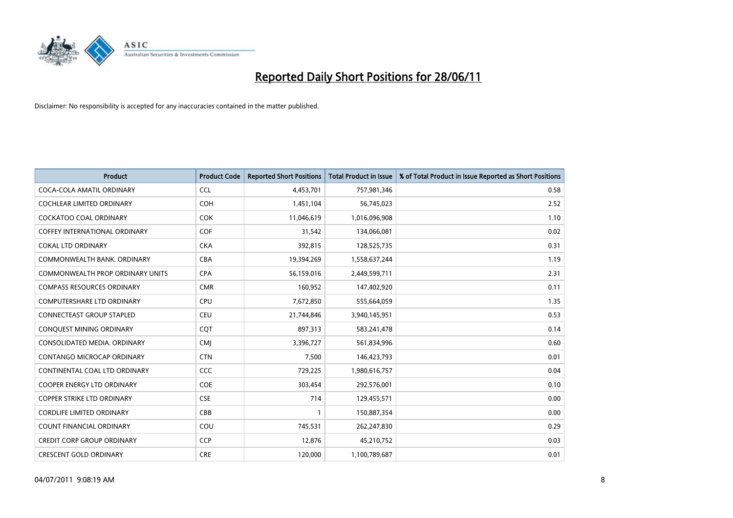

| <b>Product</b>                       | <b>Product Code</b> | <b>Reported Short Positions</b> | <b>Total Product in Issue</b> | % of Total Product in Issue Reported as Short Positions |
|--------------------------------------|---------------------|---------------------------------|-------------------------------|---------------------------------------------------------|
| COCA-COLA AMATIL ORDINARY            | <b>CCL</b>          | 4,453,701                       | 757,981,346                   | 0.58                                                    |
| COCHLEAR LIMITED ORDINARY            | <b>COH</b>          | 1,451,104                       | 56,745,023                    | 2.52                                                    |
| <b>COCKATOO COAL ORDINARY</b>        | COK                 | 11,046,619                      | 1,016,096,908                 | 1.10                                                    |
| <b>COFFEY INTERNATIONAL ORDINARY</b> | <b>COF</b>          | 31,542                          | 134,066,081                   | 0.02                                                    |
| <b>COKAL LTD ORDINARY</b>            | <b>CKA</b>          | 392,815                         | 128,525,735                   | 0.31                                                    |
| COMMONWEALTH BANK, ORDINARY          | <b>CBA</b>          | 19,394,269                      | 1,558,637,244                 | 1.19                                                    |
| COMMONWEALTH PROP ORDINARY UNITS     | <b>CPA</b>          | 56,159,016                      | 2,449,599,711                 | 2.31                                                    |
| <b>COMPASS RESOURCES ORDINARY</b>    | <b>CMR</b>          | 160,952                         | 147,402,920                   | 0.11                                                    |
| <b>COMPUTERSHARE LTD ORDINARY</b>    | <b>CPU</b>          | 7,672,850                       | 555,664,059                   | 1.35                                                    |
| <b>CONNECTEAST GROUP STAPLED</b>     | <b>CEU</b>          | 21,744,846                      | 3,940,145,951                 | 0.53                                                    |
| CONQUEST MINING ORDINARY             | <b>CQT</b>          | 897,313                         | 583,241,478                   | 0.14                                                    |
| CONSOLIDATED MEDIA, ORDINARY         | <b>CMI</b>          | 3,396,727                       | 561,834,996                   | 0.60                                                    |
| CONTANGO MICROCAP ORDINARY           | <b>CTN</b>          | 7,500                           | 146,423,793                   | 0.01                                                    |
| CONTINENTAL COAL LTD ORDINARY        | <b>CCC</b>          | 729,225                         | 1,980,616,757                 | 0.04                                                    |
| <b>COOPER ENERGY LTD ORDINARY</b>    | <b>COE</b>          | 303,454                         | 292,576,001                   | 0.10                                                    |
| COPPER STRIKE LTD ORDINARY           | <b>CSE</b>          | 714                             | 129,455,571                   | 0.00                                                    |
| <b>CORDLIFE LIMITED ORDINARY</b>     | CBB                 | 1                               | 150,887,354                   | 0.00                                                    |
| <b>COUNT FINANCIAL ORDINARY</b>      | COU                 | 745,531                         | 262,247,830                   | 0.29                                                    |
| <b>CREDIT CORP GROUP ORDINARY</b>    | <b>CCP</b>          | 12,876                          | 45,210,752                    | 0.03                                                    |
| <b>CRESCENT GOLD ORDINARY</b>        | <b>CRE</b>          | 120,000                         | 1,100,789,687                 | 0.01                                                    |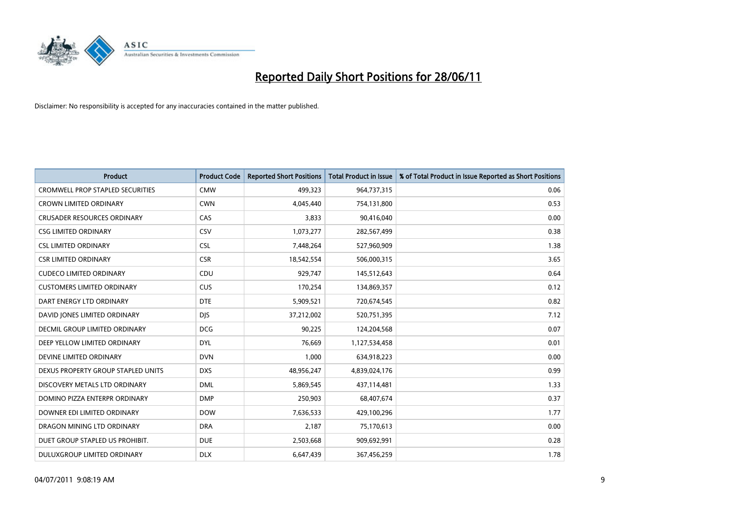

| <b>Product</b>                          | <b>Product Code</b> | <b>Reported Short Positions</b> | <b>Total Product in Issue</b> | % of Total Product in Issue Reported as Short Positions |
|-----------------------------------------|---------------------|---------------------------------|-------------------------------|---------------------------------------------------------|
| <b>CROMWELL PROP STAPLED SECURITIES</b> | <b>CMW</b>          | 499,323                         | 964,737,315                   | 0.06                                                    |
| CROWN LIMITED ORDINARY                  | <b>CWN</b>          | 4,045,440                       | 754,131,800                   | 0.53                                                    |
| <b>CRUSADER RESOURCES ORDINARY</b>      | CAS                 | 3,833                           | 90,416,040                    | 0.00                                                    |
| <b>CSG LIMITED ORDINARY</b>             | <b>CSV</b>          | 1,073,277                       | 282,567,499                   | 0.38                                                    |
| <b>CSL LIMITED ORDINARY</b>             | <b>CSL</b>          | 7,448,264                       | 527,960,909                   | 1.38                                                    |
| <b>CSR LIMITED ORDINARY</b>             | <b>CSR</b>          | 18,542,554                      | 506,000,315                   | 3.65                                                    |
| <b>CUDECO LIMITED ORDINARY</b>          | CDU                 | 929,747                         | 145,512,643                   | 0.64                                                    |
| <b>CUSTOMERS LIMITED ORDINARY</b>       | <b>CUS</b>          | 170,254                         | 134,869,357                   | 0.12                                                    |
| DART ENERGY LTD ORDINARY                | <b>DTE</b>          | 5,909,521                       | 720,674,545                   | 0.82                                                    |
| DAVID JONES LIMITED ORDINARY            | <b>DJS</b>          | 37,212,002                      | 520,751,395                   | 7.12                                                    |
| <b>DECMIL GROUP LIMITED ORDINARY</b>    | <b>DCG</b>          | 90,225                          | 124,204,568                   | 0.07                                                    |
| DEEP YELLOW LIMITED ORDINARY            | <b>DYL</b>          | 76,669                          | 1,127,534,458                 | 0.01                                                    |
| DEVINE LIMITED ORDINARY                 | <b>DVN</b>          | 1,000                           | 634,918,223                   | 0.00                                                    |
| DEXUS PROPERTY GROUP STAPLED UNITS      | <b>DXS</b>          | 48,956,247                      | 4,839,024,176                 | 0.99                                                    |
| DISCOVERY METALS LTD ORDINARY           | <b>DML</b>          | 5,869,545                       | 437,114,481                   | 1.33                                                    |
| DOMINO PIZZA ENTERPR ORDINARY           | <b>DMP</b>          | 250,903                         | 68,407,674                    | 0.37                                                    |
| DOWNER EDI LIMITED ORDINARY             | <b>DOW</b>          | 7,636,533                       | 429,100,296                   | 1.77                                                    |
| DRAGON MINING LTD ORDINARY              | <b>DRA</b>          | 2,187                           | 75,170,613                    | 0.00                                                    |
| DUET GROUP STAPLED US PROHIBIT.         | <b>DUE</b>          | 2,503,668                       | 909,692,991                   | 0.28                                                    |
| <b>DULUXGROUP LIMITED ORDINARY</b>      | <b>DLX</b>          | 6,647,439                       | 367,456,259                   | 1.78                                                    |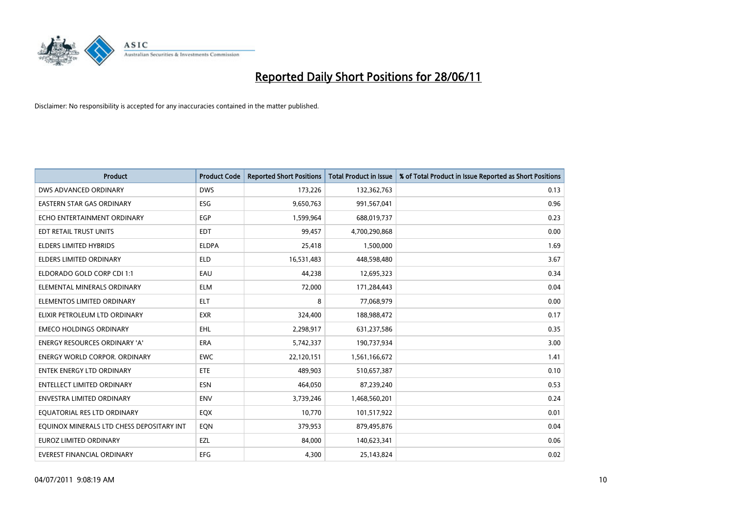

| <b>Product</b>                            | <b>Product Code</b> | <b>Reported Short Positions</b> | <b>Total Product in Issue</b> | % of Total Product in Issue Reported as Short Positions |
|-------------------------------------------|---------------------|---------------------------------|-------------------------------|---------------------------------------------------------|
| DWS ADVANCED ORDINARY                     | <b>DWS</b>          | 173,226                         | 132,362,763                   | 0.13                                                    |
| EASTERN STAR GAS ORDINARY                 | <b>ESG</b>          | 9,650,763                       | 991,567,041                   | 0.96                                                    |
| ECHO ENTERTAINMENT ORDINARY               | <b>EGP</b>          | 1,599,964                       | 688,019,737                   | 0.23                                                    |
| EDT RETAIL TRUST UNITS                    | <b>EDT</b>          | 99,457                          | 4,700,290,868                 | 0.00                                                    |
| <b>ELDERS LIMITED HYBRIDS</b>             | <b>ELDPA</b>        | 25,418                          | 1,500,000                     | 1.69                                                    |
| <b>ELDERS LIMITED ORDINARY</b>            | <b>ELD</b>          | 16,531,483                      | 448,598,480                   | 3.67                                                    |
| ELDORADO GOLD CORP CDI 1:1                | EAU                 | 44,238                          | 12,695,323                    | 0.34                                                    |
| ELEMENTAL MINERALS ORDINARY               | <b>ELM</b>          | 72,000                          | 171,284,443                   | 0.04                                                    |
| ELEMENTOS LIMITED ORDINARY                | <b>ELT</b>          | 8                               | 77,068,979                    | 0.00                                                    |
| ELIXIR PETROLEUM LTD ORDINARY             | <b>EXR</b>          | 324,400                         | 188,988,472                   | 0.17                                                    |
| <b>EMECO HOLDINGS ORDINARY</b>            | <b>EHL</b>          | 2,298,917                       | 631,237,586                   | 0.35                                                    |
| <b>ENERGY RESOURCES ORDINARY 'A'</b>      | ERA                 | 5,742,337                       | 190,737,934                   | 3.00                                                    |
| <b>ENERGY WORLD CORPOR. ORDINARY</b>      | <b>EWC</b>          | 22,120,151                      | 1,561,166,672                 | 1.41                                                    |
| <b>ENTEK ENERGY LTD ORDINARY</b>          | <b>ETE</b>          | 489,903                         | 510,657,387                   | 0.10                                                    |
| <b>ENTELLECT LIMITED ORDINARY</b>         | <b>ESN</b>          | 464,050                         | 87,239,240                    | 0.53                                                    |
| ENVESTRA LIMITED ORDINARY                 | <b>ENV</b>          | 3,739,246                       | 1,468,560,201                 | 0.24                                                    |
| EQUATORIAL RES LTD ORDINARY               | EQX                 | 10,770                          | 101,517,922                   | 0.01                                                    |
| EQUINOX MINERALS LTD CHESS DEPOSITARY INT | EQN                 | 379,953                         | 879,495,876                   | 0.04                                                    |
| <b>EUROZ LIMITED ORDINARY</b>             | EZL                 | 84,000                          | 140,623,341                   | 0.06                                                    |
| EVEREST FINANCIAL ORDINARY                | <b>EFG</b>          | 4,300                           | 25,143,824                    | 0.02                                                    |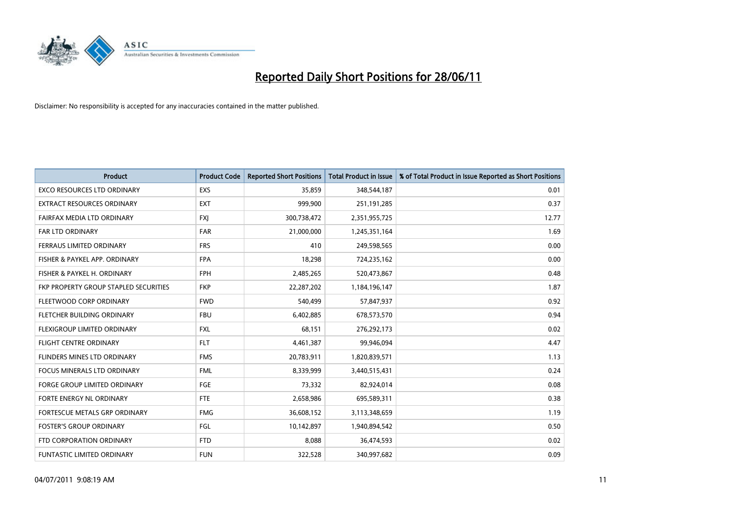

| <b>Product</b>                        | <b>Product Code</b> | <b>Reported Short Positions</b> | <b>Total Product in Issue</b> | % of Total Product in Issue Reported as Short Positions |
|---------------------------------------|---------------------|---------------------------------|-------------------------------|---------------------------------------------------------|
| <b>EXCO RESOURCES LTD ORDINARY</b>    | <b>EXS</b>          | 35,859                          | 348,544,187                   | 0.01                                                    |
| <b>EXTRACT RESOURCES ORDINARY</b>     | <b>EXT</b>          | 999,900                         | 251,191,285                   | 0.37                                                    |
| FAIRFAX MEDIA LTD ORDINARY            | <b>FXJ</b>          | 300,738,472                     | 2,351,955,725                 | 12.77                                                   |
| FAR LTD ORDINARY                      | <b>FAR</b>          | 21,000,000                      | 1,245,351,164                 | 1.69                                                    |
| FERRAUS LIMITED ORDINARY              | <b>FRS</b>          | 410                             | 249,598,565                   | 0.00                                                    |
| FISHER & PAYKEL APP. ORDINARY         | <b>FPA</b>          | 18,298                          | 724,235,162                   | 0.00                                                    |
| FISHER & PAYKEL H. ORDINARY           | FPH                 | 2,485,265                       | 520,473,867                   | 0.48                                                    |
| FKP PROPERTY GROUP STAPLED SECURITIES | <b>FKP</b>          | 22,287,202                      | 1,184,196,147                 | 1.87                                                    |
| FLEETWOOD CORP ORDINARY               | <b>FWD</b>          | 540,499                         | 57,847,937                    | 0.92                                                    |
| FLETCHER BUILDING ORDINARY            | <b>FBU</b>          | 6,402,885                       | 678,573,570                   | 0.94                                                    |
| FLEXIGROUP LIMITED ORDINARY           | <b>FXL</b>          | 68,151                          | 276,292,173                   | 0.02                                                    |
| <b>FLIGHT CENTRE ORDINARY</b>         | <b>FLT</b>          | 4,461,387                       | 99,946,094                    | 4.47                                                    |
| FLINDERS MINES LTD ORDINARY           | <b>FMS</b>          | 20,783,911                      | 1,820,839,571                 | 1.13                                                    |
| <b>FOCUS MINERALS LTD ORDINARY</b>    | <b>FML</b>          | 8,339,999                       | 3,440,515,431                 | 0.24                                                    |
| <b>FORGE GROUP LIMITED ORDINARY</b>   | <b>FGE</b>          | 73,332                          | 82,924,014                    | 0.08                                                    |
| FORTE ENERGY NL ORDINARY              | FTE                 | 2,658,986                       | 695,589,311                   | 0.38                                                    |
| FORTESCUE METALS GRP ORDINARY         | <b>FMG</b>          | 36,608,152                      | 3,113,348,659                 | 1.19                                                    |
| <b>FOSTER'S GROUP ORDINARY</b>        | FGL                 | 10,142,897                      | 1,940,894,542                 | 0.50                                                    |
| FTD CORPORATION ORDINARY              | <b>FTD</b>          | 8,088                           | 36,474,593                    | 0.02                                                    |
| <b>FUNTASTIC LIMITED ORDINARY</b>     | <b>FUN</b>          | 322,528                         | 340,997,682                   | 0.09                                                    |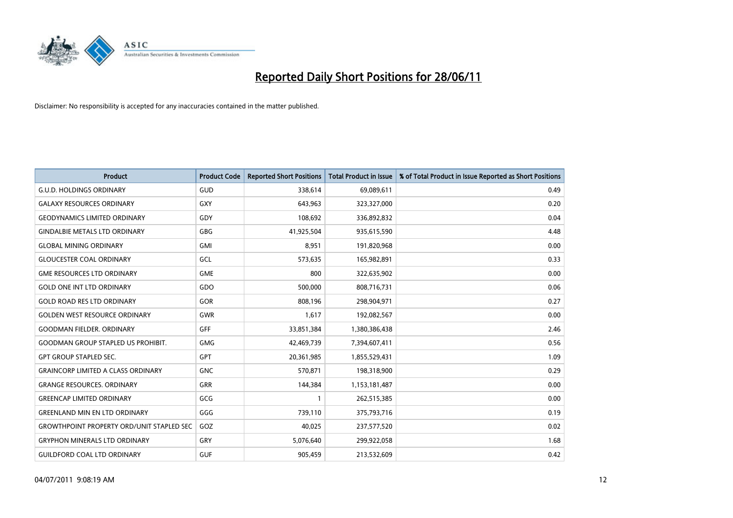

| <b>Product</b>                                   | <b>Product Code</b> | <b>Reported Short Positions</b> | <b>Total Product in Issue</b> | % of Total Product in Issue Reported as Short Positions |
|--------------------------------------------------|---------------------|---------------------------------|-------------------------------|---------------------------------------------------------|
| <b>G.U.D. HOLDINGS ORDINARY</b>                  | GUD                 | 338,614                         | 69,089,611                    | 0.49                                                    |
| <b>GALAXY RESOURCES ORDINARY</b>                 | GXY                 | 643,963                         | 323,327,000                   | 0.20                                                    |
| <b>GEODYNAMICS LIMITED ORDINARY</b>              | GDY                 | 108,692                         | 336,892,832                   | 0.04                                                    |
| <b>GINDALBIE METALS LTD ORDINARY</b>             | <b>GBG</b>          | 41,925,504                      | 935,615,590                   | 4.48                                                    |
| <b>GLOBAL MINING ORDINARY</b>                    | <b>GMI</b>          | 8,951                           | 191,820,968                   | 0.00                                                    |
| <b>GLOUCESTER COAL ORDINARY</b>                  | GCL                 | 573,635                         | 165,982,891                   | 0.33                                                    |
| <b>GME RESOURCES LTD ORDINARY</b>                | <b>GME</b>          | 800                             | 322,635,902                   | 0.00                                                    |
| <b>GOLD ONE INT LTD ORDINARY</b>                 | GDO                 | 500,000                         | 808,716,731                   | 0.06                                                    |
| <b>GOLD ROAD RES LTD ORDINARY</b>                | GOR                 | 808,196                         | 298,904,971                   | 0.27                                                    |
| <b>GOLDEN WEST RESOURCE ORDINARY</b>             | <b>GWR</b>          | 1,617                           | 192,082,567                   | 0.00                                                    |
| <b>GOODMAN FIELDER. ORDINARY</b>                 | <b>GFF</b>          | 33,851,384                      | 1,380,386,438                 | 2.46                                                    |
| <b>GOODMAN GROUP STAPLED US PROHIBIT.</b>        | <b>GMG</b>          | 42,469,739                      | 7,394,607,411                 | 0.56                                                    |
| <b>GPT GROUP STAPLED SEC.</b>                    | GPT                 | 20,361,985                      | 1,855,529,431                 | 1.09                                                    |
| <b>GRAINCORP LIMITED A CLASS ORDINARY</b>        | <b>GNC</b>          | 570,871                         | 198,318,900                   | 0.29                                                    |
| <b>GRANGE RESOURCES, ORDINARY</b>                | <b>GRR</b>          | 144,384                         | 1,153,181,487                 | 0.00                                                    |
| <b>GREENCAP LIMITED ORDINARY</b>                 | GCG                 |                                 | 262,515,385                   | 0.00                                                    |
| <b>GREENLAND MIN EN LTD ORDINARY</b>             | GGG                 | 739,110                         | 375,793,716                   | 0.19                                                    |
| <b>GROWTHPOINT PROPERTY ORD/UNIT STAPLED SEC</b> | GOZ                 | 40,025                          | 237,577,520                   | 0.02                                                    |
| <b>GRYPHON MINERALS LTD ORDINARY</b>             | GRY                 | 5,076,640                       | 299,922,058                   | 1.68                                                    |
| <b>GUILDFORD COAL LTD ORDINARY</b>               | <b>GUF</b>          | 905,459                         | 213,532,609                   | 0.42                                                    |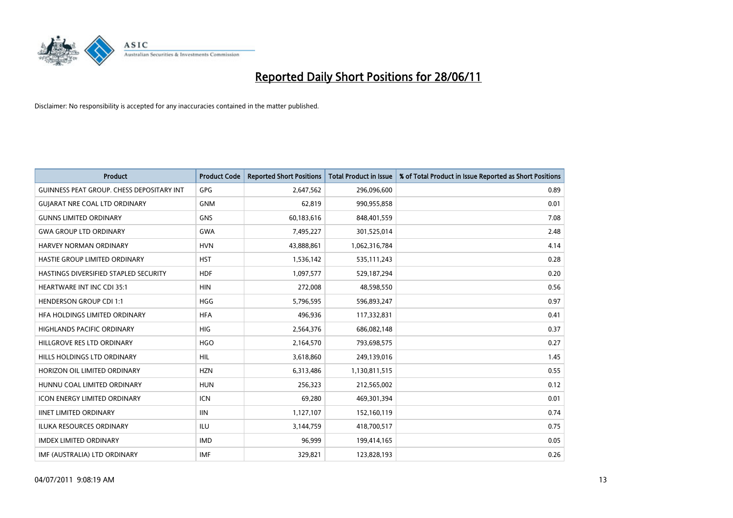

| <b>Product</b>                            | <b>Product Code</b> | <b>Reported Short Positions</b> | <b>Total Product in Issue</b> | % of Total Product in Issue Reported as Short Positions |
|-------------------------------------------|---------------------|---------------------------------|-------------------------------|---------------------------------------------------------|
| GUINNESS PEAT GROUP. CHESS DEPOSITARY INT | GPG                 | 2,647,562                       | 296,096,600                   | 0.89                                                    |
| <b>GUIARAT NRE COAL LTD ORDINARY</b>      | <b>GNM</b>          | 62,819                          | 990,955,858                   | 0.01                                                    |
| <b>GUNNS LIMITED ORDINARY</b>             | <b>GNS</b>          | 60,183,616                      | 848,401,559                   | 7.08                                                    |
| <b>GWA GROUP LTD ORDINARY</b>             | <b>GWA</b>          | 7,495,227                       | 301,525,014                   | 2.48                                                    |
| HARVEY NORMAN ORDINARY                    | <b>HVN</b>          | 43,888,861                      | 1,062,316,784                 | 4.14                                                    |
| HASTIE GROUP LIMITED ORDINARY             | <b>HST</b>          | 1,536,142                       | 535,111,243                   | 0.28                                                    |
| HASTINGS DIVERSIFIED STAPLED SECURITY     | <b>HDF</b>          | 1,097,577                       | 529,187,294                   | 0.20                                                    |
| HEARTWARE INT INC CDI 35:1                | <b>HIN</b>          | 272,008                         | 48,598,550                    | 0.56                                                    |
| <b>HENDERSON GROUP CDI 1:1</b>            | <b>HGG</b>          | 5,796,595                       | 596,893,247                   | 0.97                                                    |
| HEA HOLDINGS LIMITED ORDINARY             | <b>HFA</b>          | 496,936                         | 117,332,831                   | 0.41                                                    |
| HIGHLANDS PACIFIC ORDINARY                | <b>HIG</b>          | 2,564,376                       | 686,082,148                   | 0.37                                                    |
| HILLGROVE RES LTD ORDINARY                | <b>HGO</b>          | 2,164,570                       | 793,698,575                   | 0.27                                                    |
| HILLS HOLDINGS LTD ORDINARY               | <b>HIL</b>          | 3,618,860                       | 249,139,016                   | 1.45                                                    |
| HORIZON OIL LIMITED ORDINARY              | <b>HZN</b>          | 6,313,486                       | 1,130,811,515                 | 0.55                                                    |
| HUNNU COAL LIMITED ORDINARY               | <b>HUN</b>          | 256,323                         | 212,565,002                   | 0.12                                                    |
| <b>ICON ENERGY LIMITED ORDINARY</b>       | <b>ICN</b>          | 69,280                          | 469,301,394                   | 0.01                                                    |
| <b>IINET LIMITED ORDINARY</b>             | <b>IIN</b>          | 1,127,107                       | 152,160,119                   | 0.74                                                    |
| ILUKA RESOURCES ORDINARY                  | ILU                 | 3,144,759                       | 418,700,517                   | 0.75                                                    |
| <b>IMDEX LIMITED ORDINARY</b>             | <b>IMD</b>          | 96,999                          | 199,414,165                   | 0.05                                                    |
| IMF (AUSTRALIA) LTD ORDINARY              | <b>IMF</b>          | 329,821                         | 123,828,193                   | 0.26                                                    |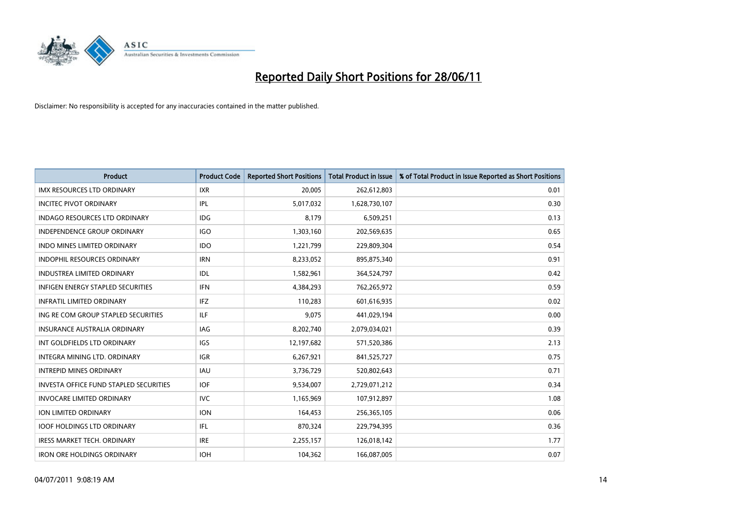

| <b>Product</b>                                | <b>Product Code</b> | <b>Reported Short Positions</b> | <b>Total Product in Issue</b> | % of Total Product in Issue Reported as Short Positions |
|-----------------------------------------------|---------------------|---------------------------------|-------------------------------|---------------------------------------------------------|
| <b>IMX RESOURCES LTD ORDINARY</b>             | <b>IXR</b>          | 20,005                          | 262,612,803                   | 0.01                                                    |
| <b>INCITEC PIVOT ORDINARY</b>                 | IPL                 | 5,017,032                       | 1,628,730,107                 | 0.30                                                    |
| INDAGO RESOURCES LTD ORDINARY                 | <b>IDG</b>          | 8,179                           | 6,509,251                     | 0.13                                                    |
| <b>INDEPENDENCE GROUP ORDINARY</b>            | <b>IGO</b>          | 1,303,160                       | 202,569,635                   | 0.65                                                    |
| <b>INDO MINES LIMITED ORDINARY</b>            | <b>IDO</b>          | 1,221,799                       | 229,809,304                   | 0.54                                                    |
| <b>INDOPHIL RESOURCES ORDINARY</b>            | <b>IRN</b>          | 8,233,052                       | 895,875,340                   | 0.91                                                    |
| <b>INDUSTREA LIMITED ORDINARY</b>             | IDL                 | 1,582,961                       | 364,524,797                   | 0.42                                                    |
| INFIGEN ENERGY STAPLED SECURITIES             | <b>IFN</b>          | 4,384,293                       | 762,265,972                   | 0.59                                                    |
| <b>INFRATIL LIMITED ORDINARY</b>              | IFZ                 | 110,283                         | 601,616,935                   | 0.02                                                    |
| ING RE COM GROUP STAPLED SECURITIES           | ILF.                | 9,075                           | 441,029,194                   | 0.00                                                    |
| INSURANCE AUSTRALIA ORDINARY                  | IAG                 | 8,202,740                       | 2,079,034,021                 | 0.39                                                    |
| INT GOLDFIELDS LTD ORDINARY                   | IGS                 | 12,197,682                      | 571,520,386                   | 2.13                                                    |
| INTEGRA MINING LTD, ORDINARY                  | <b>IGR</b>          | 6,267,921                       | 841,525,727                   | 0.75                                                    |
| <b>INTREPID MINES ORDINARY</b>                | <b>IAU</b>          | 3,736,729                       | 520,802,643                   | 0.71                                                    |
| <b>INVESTA OFFICE FUND STAPLED SECURITIES</b> | <b>IOF</b>          | 9,534,007                       | 2,729,071,212                 | 0.34                                                    |
| <b>INVOCARE LIMITED ORDINARY</b>              | <b>IVC</b>          | 1,165,969                       | 107,912,897                   | 1.08                                                    |
| ION LIMITED ORDINARY                          | <b>ION</b>          | 164,453                         | 256,365,105                   | 0.06                                                    |
| <b>IOOF HOLDINGS LTD ORDINARY</b>             | IFL                 | 870,324                         | 229,794,395                   | 0.36                                                    |
| <b>IRESS MARKET TECH. ORDINARY</b>            | <b>IRE</b>          | 2,255,157                       | 126,018,142                   | 1.77                                                    |
| <b>IRON ORE HOLDINGS ORDINARY</b>             | <b>IOH</b>          | 104,362                         | 166,087,005                   | 0.07                                                    |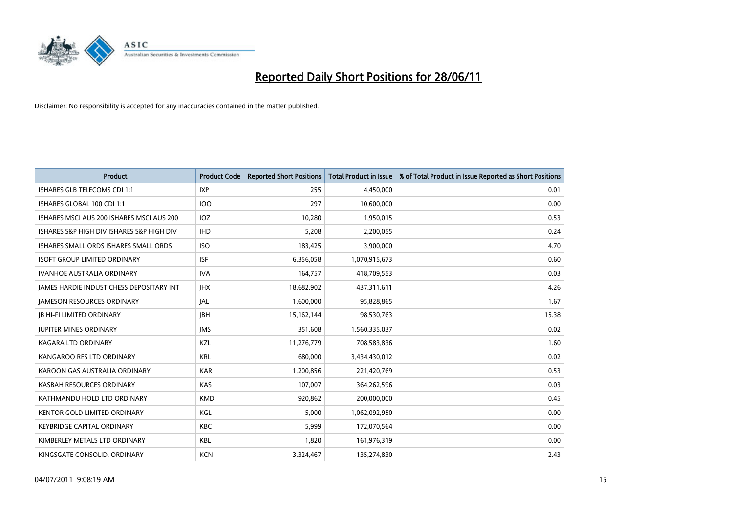

| <b>Product</b>                                  | <b>Product Code</b> | <b>Reported Short Positions</b> | <b>Total Product in Issue</b> | % of Total Product in Issue Reported as Short Positions |
|-------------------------------------------------|---------------------|---------------------------------|-------------------------------|---------------------------------------------------------|
| ISHARES GLB TELECOMS CDI 1:1                    | <b>IXP</b>          | 255                             | 4,450,000                     | 0.01                                                    |
| ISHARES GLOBAL 100 CDI 1:1                      | <b>IOO</b>          | 297                             | 10,600,000                    | 0.00                                                    |
| ISHARES MSCI AUS 200 ISHARES MSCI AUS 200       | <b>IOZ</b>          | 10,280                          | 1,950,015                     | 0.53                                                    |
| ISHARES S&P HIGH DIV ISHARES S&P HIGH DIV       | <b>IHD</b>          | 5,208                           | 2,200,055                     | 0.24                                                    |
| ISHARES SMALL ORDS ISHARES SMALL ORDS           | <b>ISO</b>          | 183,425                         | 3,900,000                     | 4.70                                                    |
| <b>ISOFT GROUP LIMITED ORDINARY</b>             | <b>ISF</b>          | 6,356,058                       | 1,070,915,673                 | 0.60                                                    |
| <b>IVANHOE AUSTRALIA ORDINARY</b>               | <b>IVA</b>          | 164,757                         | 418,709,553                   | 0.03                                                    |
| <b>JAMES HARDIE INDUST CHESS DEPOSITARY INT</b> | <b>IHX</b>          | 18,682,902                      | 437,311,611                   | 4.26                                                    |
| <b>JAMESON RESOURCES ORDINARY</b>               | JAL                 | 1,600,000                       | 95,828,865                    | 1.67                                                    |
| <b>JB HI-FI LIMITED ORDINARY</b>                | <b>JBH</b>          | 15,162,144                      | 98,530,763                    | 15.38                                                   |
| <b>JUPITER MINES ORDINARY</b>                   | <b>IMS</b>          | 351,608                         | 1,560,335,037                 | 0.02                                                    |
| <b>KAGARA LTD ORDINARY</b>                      | <b>KZL</b>          | 11,276,779                      | 708,583,836                   | 1.60                                                    |
| KANGAROO RES LTD ORDINARY                       | <b>KRL</b>          | 680,000                         | 3,434,430,012                 | 0.02                                                    |
| KAROON GAS AUSTRALIA ORDINARY                   | <b>KAR</b>          | 1,200,856                       | 221,420,769                   | 0.53                                                    |
| KASBAH RESOURCES ORDINARY                       | <b>KAS</b>          | 107,007                         | 364,262,596                   | 0.03                                                    |
| KATHMANDU HOLD LTD ORDINARY                     | <b>KMD</b>          | 920,862                         | 200,000,000                   | 0.45                                                    |
| KENTOR GOLD LIMITED ORDINARY                    | KGL                 | 5,000                           | 1,062,092,950                 | 0.00                                                    |
| <b>KEYBRIDGE CAPITAL ORDINARY</b>               | <b>KBC</b>          | 5,999                           | 172,070,564                   | 0.00                                                    |
| KIMBERLEY METALS LTD ORDINARY                   | <b>KBL</b>          | 1,820                           | 161,976,319                   | 0.00                                                    |
| KINGSGATE CONSOLID. ORDINARY                    | <b>KCN</b>          | 3,324,467                       | 135,274,830                   | 2.43                                                    |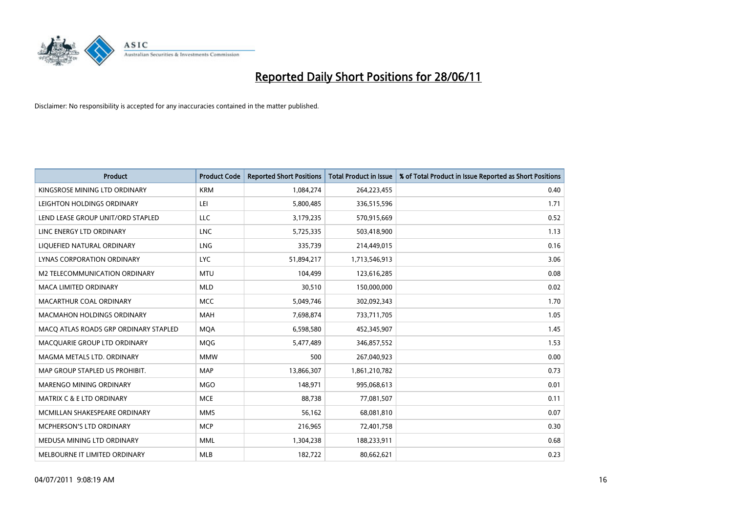

| <b>Product</b>                        | <b>Product Code</b> | <b>Reported Short Positions</b> | <b>Total Product in Issue</b> | % of Total Product in Issue Reported as Short Positions |
|---------------------------------------|---------------------|---------------------------------|-------------------------------|---------------------------------------------------------|
| KINGSROSE MINING LTD ORDINARY         | <b>KRM</b>          | 1,084,274                       | 264,223,455                   | 0.40                                                    |
| LEIGHTON HOLDINGS ORDINARY            | LEI                 | 5,800,485                       | 336,515,596                   | 1.71                                                    |
| LEND LEASE GROUP UNIT/ORD STAPLED     | <b>LLC</b>          | 3,179,235                       | 570,915,669                   | 0.52                                                    |
| LINC ENERGY LTD ORDINARY              | <b>LNC</b>          | 5,725,335                       | 503,418,900                   | 1.13                                                    |
| LIQUEFIED NATURAL ORDINARY            | LNG                 | 335,739                         | 214,449,015                   | 0.16                                                    |
| LYNAS CORPORATION ORDINARY            | <b>LYC</b>          | 51,894,217                      | 1,713,546,913                 | 3.06                                                    |
| M2 TELECOMMUNICATION ORDINARY         | <b>MTU</b>          | 104,499                         | 123,616,285                   | 0.08                                                    |
| MACA LIMITED ORDINARY                 | <b>MLD</b>          | 30,510                          | 150,000,000                   | 0.02                                                    |
| MACARTHUR COAL ORDINARY               | <b>MCC</b>          | 5,049,746                       | 302,092,343                   | 1.70                                                    |
| <b>MACMAHON HOLDINGS ORDINARY</b>     | <b>MAH</b>          | 7,698,874                       | 733,711,705                   | 1.05                                                    |
| MACO ATLAS ROADS GRP ORDINARY STAPLED | <b>MOA</b>          | 6,598,580                       | 452,345,907                   | 1.45                                                    |
| MACQUARIE GROUP LTD ORDINARY          | MQG                 | 5,477,489                       | 346,857,552                   | 1.53                                                    |
| MAGMA METALS LTD. ORDINARY            | <b>MMW</b>          | 500                             | 267,040,923                   | 0.00                                                    |
| MAP GROUP STAPLED US PROHIBIT.        | <b>MAP</b>          | 13,866,307                      | 1,861,210,782                 | 0.73                                                    |
| MARENGO MINING ORDINARY               | <b>MGO</b>          | 148,971                         | 995,068,613                   | 0.01                                                    |
| <b>MATRIX C &amp; E LTD ORDINARY</b>  | <b>MCE</b>          | 88,738                          | 77,081,507                    | 0.11                                                    |
| MCMILLAN SHAKESPEARE ORDINARY         | <b>MMS</b>          | 56,162                          | 68,081,810                    | 0.07                                                    |
| <b>MCPHERSON'S LTD ORDINARY</b>       | <b>MCP</b>          | 216,965                         | 72,401,758                    | 0.30                                                    |
| MEDUSA MINING LTD ORDINARY            | <b>MML</b>          | 1,304,238                       | 188,233,911                   | 0.68                                                    |
| MELBOURNE IT LIMITED ORDINARY         | <b>MLB</b>          | 182,722                         | 80,662,621                    | 0.23                                                    |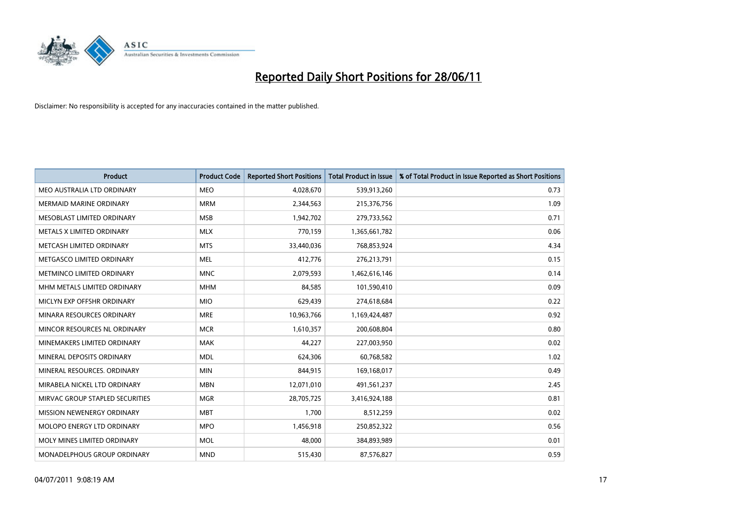

| <b>Product</b>                  | <b>Product Code</b> | <b>Reported Short Positions</b> | <b>Total Product in Issue</b> | % of Total Product in Issue Reported as Short Positions |
|---------------------------------|---------------------|---------------------------------|-------------------------------|---------------------------------------------------------|
| MEO AUSTRALIA LTD ORDINARY      | <b>MEO</b>          | 4,028,670                       | 539,913,260                   | 0.73                                                    |
| MERMAID MARINE ORDINARY         | <b>MRM</b>          | 2,344,563                       | 215,376,756                   | 1.09                                                    |
| MESOBLAST LIMITED ORDINARY      | <b>MSB</b>          | 1,942,702                       | 279,733,562                   | 0.71                                                    |
| METALS X LIMITED ORDINARY       | <b>MLX</b>          | 770,159                         | 1,365,661,782                 | 0.06                                                    |
| METCASH LIMITED ORDINARY        | <b>MTS</b>          | 33,440,036                      | 768,853,924                   | 4.34                                                    |
| METGASCO LIMITED ORDINARY       | <b>MEL</b>          | 412,776                         | 276,213,791                   | 0.15                                                    |
| METMINCO LIMITED ORDINARY       | <b>MNC</b>          | 2,079,593                       | 1,462,616,146                 | 0.14                                                    |
| MHM METALS LIMITED ORDINARY     | <b>MHM</b>          | 84,585                          | 101,590,410                   | 0.09                                                    |
| MICLYN EXP OFFSHR ORDINARY      | <b>MIO</b>          | 629,439                         | 274,618,684                   | 0.22                                                    |
| MINARA RESOURCES ORDINARY       | <b>MRE</b>          | 10,963,766                      | 1,169,424,487                 | 0.92                                                    |
| MINCOR RESOURCES NL ORDINARY    | <b>MCR</b>          | 1,610,357                       | 200,608,804                   | 0.80                                                    |
| MINEMAKERS LIMITED ORDINARY     | <b>MAK</b>          | 44,227                          | 227,003,950                   | 0.02                                                    |
| MINERAL DEPOSITS ORDINARY       | <b>MDL</b>          | 624,306                         | 60,768,582                    | 1.02                                                    |
| MINERAL RESOURCES, ORDINARY     | <b>MIN</b>          | 844,915                         | 169,168,017                   | 0.49                                                    |
| MIRABELA NICKEL LTD ORDINARY    | <b>MBN</b>          | 12,071,010                      | 491,561,237                   | 2.45                                                    |
| MIRVAC GROUP STAPLED SECURITIES | <b>MGR</b>          | 28,705,725                      | 3,416,924,188                 | 0.81                                                    |
| MISSION NEWENERGY ORDINARY      | <b>MBT</b>          | 1,700                           | 8,512,259                     | 0.02                                                    |
| MOLOPO ENERGY LTD ORDINARY      | <b>MPO</b>          | 1,456,918                       | 250,852,322                   | 0.56                                                    |
| MOLY MINES LIMITED ORDINARY     | <b>MOL</b>          | 48,000                          | 384,893,989                   | 0.01                                                    |
| MONADELPHOUS GROUP ORDINARY     | <b>MND</b>          | 515,430                         | 87,576,827                    | 0.59                                                    |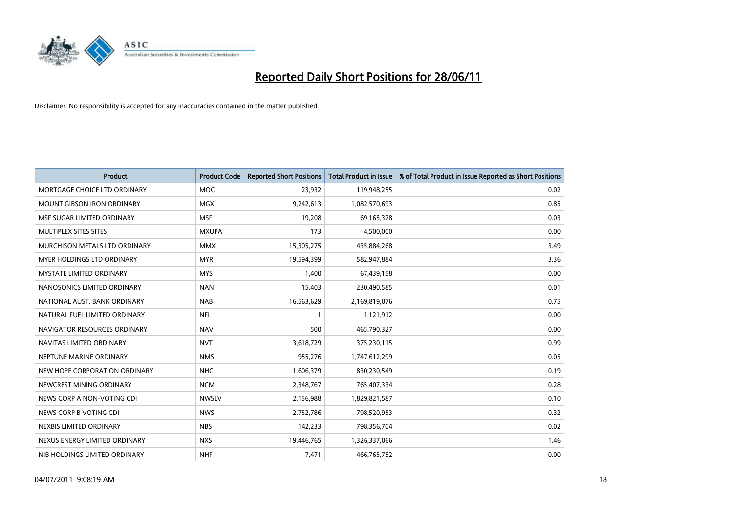

| <b>Product</b>                    | <b>Product Code</b> | <b>Reported Short Positions</b> | <b>Total Product in Issue</b> | % of Total Product in Issue Reported as Short Positions |
|-----------------------------------|---------------------|---------------------------------|-------------------------------|---------------------------------------------------------|
| MORTGAGE CHOICE LTD ORDINARY      | MOC                 | 23,932                          | 119,948,255                   | 0.02                                                    |
| <b>MOUNT GIBSON IRON ORDINARY</b> | <b>MGX</b>          | 9,242,613                       | 1,082,570,693                 | 0.85                                                    |
| MSF SUGAR LIMITED ORDINARY        | <b>MSF</b>          | 19,208                          | 69,165,378                    | 0.03                                                    |
| MULTIPLEX SITES SITES             | <b>MXUPA</b>        | 173                             | 4,500,000                     | 0.00                                                    |
| MURCHISON METALS LTD ORDINARY     | <b>MMX</b>          | 15,305,275                      | 435,884,268                   | 3.49                                                    |
| MYER HOLDINGS LTD ORDINARY        | <b>MYR</b>          | 19,594,399                      | 582,947,884                   | 3.36                                                    |
| <b>MYSTATE LIMITED ORDINARY</b>   | <b>MYS</b>          | 1,400                           | 67,439,158                    | 0.00                                                    |
| NANOSONICS LIMITED ORDINARY       | <b>NAN</b>          | 15,403                          | 230,490,585                   | 0.01                                                    |
| NATIONAL AUST. BANK ORDINARY      | <b>NAB</b>          | 16,563,629                      | 2,169,819,076                 | 0.75                                                    |
| NATURAL FUEL LIMITED ORDINARY     | <b>NFL</b>          | 1                               | 1,121,912                     | 0.00                                                    |
| NAVIGATOR RESOURCES ORDINARY      | <b>NAV</b>          | 500                             | 465,790,327                   | 0.00                                                    |
| NAVITAS LIMITED ORDINARY          | <b>NVT</b>          | 3,618,729                       | 375,230,115                   | 0.99                                                    |
| NEPTUNE MARINE ORDINARY           | <b>NMS</b>          | 955,276                         | 1,747,612,299                 | 0.05                                                    |
| NEW HOPE CORPORATION ORDINARY     | <b>NHC</b>          | 1,606,379                       | 830,230,549                   | 0.19                                                    |
| NEWCREST MINING ORDINARY          | <b>NCM</b>          | 2,348,767                       | 765,407,334                   | 0.28                                                    |
| NEWS CORP A NON-VOTING CDI        | <b>NWSLV</b>        | 2,156,988                       | 1,829,821,587                 | 0.10                                                    |
| NEWS CORP B VOTING CDI            | <b>NWS</b>          | 2,752,786                       | 798,520,953                   | 0.32                                                    |
| NEXBIS LIMITED ORDINARY           | <b>NBS</b>          | 142,233                         | 798,356,704                   | 0.02                                                    |
| NEXUS ENERGY LIMITED ORDINARY     | <b>NXS</b>          | 19,446,765                      | 1,326,337,066                 | 1.46                                                    |
| NIB HOLDINGS LIMITED ORDINARY     | <b>NHF</b>          | 7,471                           | 466,765,752                   | 0.00                                                    |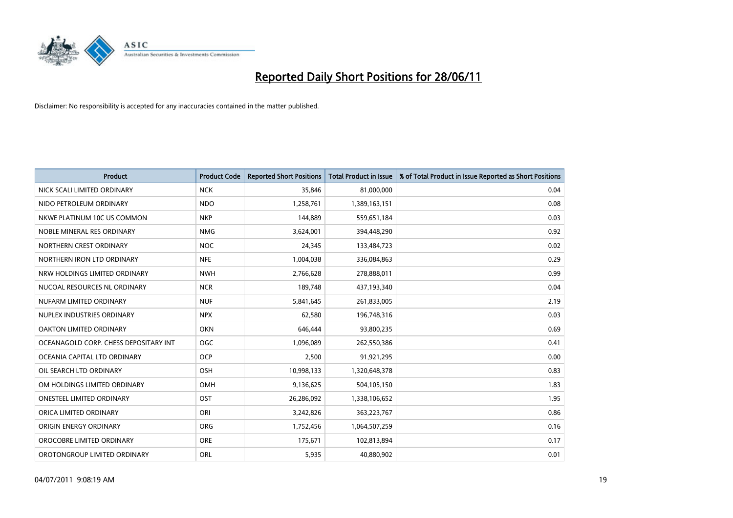

| Product                               | <b>Product Code</b> | <b>Reported Short Positions</b> | <b>Total Product in Issue</b> | % of Total Product in Issue Reported as Short Positions |
|---------------------------------------|---------------------|---------------------------------|-------------------------------|---------------------------------------------------------|
| NICK SCALI LIMITED ORDINARY           | <b>NCK</b>          | 35,846                          | 81,000,000                    | 0.04                                                    |
| NIDO PETROLEUM ORDINARY               | <b>NDO</b>          | 1,258,761                       | 1,389,163,151                 | 0.08                                                    |
| NKWE PLATINUM 10C US COMMON           | <b>NKP</b>          | 144,889                         | 559,651,184                   | 0.03                                                    |
| NOBLE MINERAL RES ORDINARY            | <b>NMG</b>          | 3,624,001                       | 394,448,290                   | 0.92                                                    |
| NORTHERN CREST ORDINARY               | <b>NOC</b>          | 24,345                          | 133,484,723                   | 0.02                                                    |
| NORTHERN IRON LTD ORDINARY            | <b>NFE</b>          | 1,004,038                       | 336,084,863                   | 0.29                                                    |
| NRW HOLDINGS LIMITED ORDINARY         | <b>NWH</b>          | 2,766,628                       | 278,888,011                   | 0.99                                                    |
| NUCOAL RESOURCES NL ORDINARY          | <b>NCR</b>          | 189,748                         | 437,193,340                   | 0.04                                                    |
| NUFARM LIMITED ORDINARY               | <b>NUF</b>          | 5,841,645                       | 261,833,005                   | 2.19                                                    |
| NUPLEX INDUSTRIES ORDINARY            | <b>NPX</b>          | 62,580                          | 196,748,316                   | 0.03                                                    |
| OAKTON LIMITED ORDINARY               | <b>OKN</b>          | 646,444                         | 93,800,235                    | 0.69                                                    |
| OCEANAGOLD CORP. CHESS DEPOSITARY INT | <b>OGC</b>          | 1,096,089                       | 262,550,386                   | 0.41                                                    |
| OCEANIA CAPITAL LTD ORDINARY          | <b>OCP</b>          | 2,500                           | 91,921,295                    | 0.00                                                    |
| OIL SEARCH LTD ORDINARY               | OSH                 | 10,998,133                      | 1,320,648,378                 | 0.83                                                    |
| OM HOLDINGS LIMITED ORDINARY          | OMH                 | 9,136,625                       | 504,105,150                   | 1.83                                                    |
| <b>ONESTEEL LIMITED ORDINARY</b>      | OST                 | 26,286,092                      | 1,338,106,652                 | 1.95                                                    |
| ORICA LIMITED ORDINARY                | ORI                 | 3,242,826                       | 363,223,767                   | 0.86                                                    |
| ORIGIN ENERGY ORDINARY                | <b>ORG</b>          | 1,752,456                       | 1,064,507,259                 | 0.16                                                    |
| OROCOBRE LIMITED ORDINARY             | <b>ORE</b>          | 175,671                         | 102,813,894                   | 0.17                                                    |
| OROTONGROUP LIMITED ORDINARY          | ORL                 | 5,935                           | 40,880,902                    | 0.01                                                    |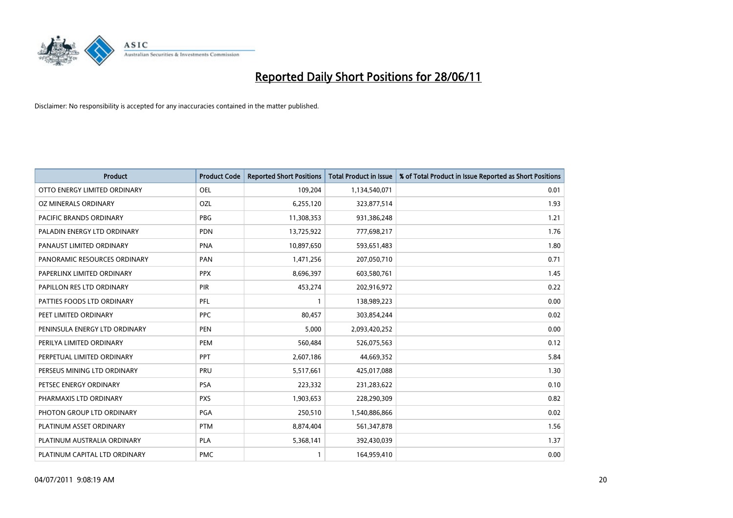

| <b>Product</b>                | <b>Product Code</b> | <b>Reported Short Positions</b> | Total Product in Issue | % of Total Product in Issue Reported as Short Positions |
|-------------------------------|---------------------|---------------------------------|------------------------|---------------------------------------------------------|
| OTTO ENERGY LIMITED ORDINARY  | <b>OEL</b>          | 109,204                         | 1,134,540,071          | 0.01                                                    |
| <b>OZ MINERALS ORDINARY</b>   | OZL                 | 6,255,120                       | 323,877,514            | 1.93                                                    |
| PACIFIC BRANDS ORDINARY       | <b>PBG</b>          | 11,308,353                      | 931,386,248            | 1.21                                                    |
| PALADIN ENERGY LTD ORDINARY   | <b>PDN</b>          | 13,725,922                      | 777,698,217            | 1.76                                                    |
| PANAUST LIMITED ORDINARY      | <b>PNA</b>          | 10,897,650                      | 593,651,483            | 1.80                                                    |
| PANORAMIC RESOURCES ORDINARY  | PAN                 | 1,471,256                       | 207,050,710            | 0.71                                                    |
| PAPERLINX LIMITED ORDINARY    | <b>PPX</b>          | 8,696,397                       | 603,580,761            | 1.45                                                    |
| PAPILLON RES LTD ORDINARY     | PIR                 | 453,274                         | 202,916,972            | 0.22                                                    |
| PATTIES FOODS LTD ORDINARY    | PFL                 |                                 | 138,989,223            | 0.00                                                    |
| PEET LIMITED ORDINARY         | <b>PPC</b>          | 80,457                          | 303,854,244            | 0.02                                                    |
| PENINSULA ENERGY LTD ORDINARY | <b>PEN</b>          | 5,000                           | 2,093,420,252          | 0.00                                                    |
| PERILYA LIMITED ORDINARY      | PEM                 | 560,484                         | 526,075,563            | 0.12                                                    |
| PERPETUAL LIMITED ORDINARY    | <b>PPT</b>          | 2,607,186                       | 44,669,352             | 5.84                                                    |
| PERSEUS MINING LTD ORDINARY   | <b>PRU</b>          | 5,517,661                       | 425,017,088            | 1.30                                                    |
| PETSEC ENERGY ORDINARY        | <b>PSA</b>          | 223,332                         | 231,283,622            | 0.10                                                    |
| PHARMAXIS LTD ORDINARY        | <b>PXS</b>          | 1,903,653                       | 228,290,309            | 0.82                                                    |
| PHOTON GROUP LTD ORDINARY     | PGA                 | 250,510                         | 1,540,886,866          | 0.02                                                    |
| PLATINUM ASSET ORDINARY       | <b>PTM</b>          | 8,874,404                       | 561,347,878            | 1.56                                                    |
| PLATINUM AUSTRALIA ORDINARY   | <b>PLA</b>          | 5,368,141                       | 392,430,039            | 1.37                                                    |
| PLATINUM CAPITAL LTD ORDINARY | <b>PMC</b>          |                                 | 164,959,410            | 0.00                                                    |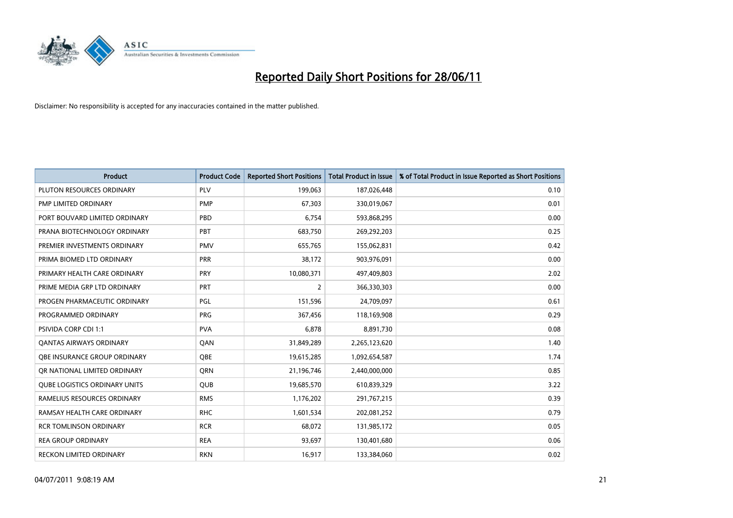

| <b>Product</b>                       | <b>Product Code</b> | <b>Reported Short Positions</b> | <b>Total Product in Issue</b> | % of Total Product in Issue Reported as Short Positions |
|--------------------------------------|---------------------|---------------------------------|-------------------------------|---------------------------------------------------------|
| PLUTON RESOURCES ORDINARY            | PLV                 | 199,063                         | 187,026,448                   | 0.10                                                    |
| PMP LIMITED ORDINARY                 | <b>PMP</b>          | 67,303                          | 330,019,067                   | 0.01                                                    |
| PORT BOUVARD LIMITED ORDINARY        | <b>PBD</b>          | 6,754                           | 593,868,295                   | 0.00                                                    |
| PRANA BIOTECHNOLOGY ORDINARY         | PBT                 | 683,750                         | 269,292,203                   | 0.25                                                    |
| PREMIER INVESTMENTS ORDINARY         | <b>PMV</b>          | 655,765                         | 155,062,831                   | 0.42                                                    |
| PRIMA BIOMED LTD ORDINARY            | <b>PRR</b>          | 38,172                          | 903,976,091                   | 0.00                                                    |
| PRIMARY HEALTH CARE ORDINARY         | <b>PRY</b>          | 10,080,371                      | 497,409,803                   | 2.02                                                    |
| PRIME MEDIA GRP LTD ORDINARY         | <b>PRT</b>          | $\overline{2}$                  | 366,330,303                   | 0.00                                                    |
| PROGEN PHARMACEUTIC ORDINARY         | PGL                 | 151,596                         | 24,709,097                    | 0.61                                                    |
| PROGRAMMED ORDINARY                  | <b>PRG</b>          | 367,456                         | 118,169,908                   | 0.29                                                    |
| PSIVIDA CORP CDI 1:1                 | <b>PVA</b>          | 6,878                           | 8,891,730                     | 0.08                                                    |
| <b>QANTAS AIRWAYS ORDINARY</b>       | QAN                 | 31,849,289                      | 2,265,123,620                 | 1.40                                                    |
| OBE INSURANCE GROUP ORDINARY         | <b>OBE</b>          | 19,615,285                      | 1,092,654,587                 | 1.74                                                    |
| OR NATIONAL LIMITED ORDINARY         | <b>ORN</b>          | 21,196,746                      | 2,440,000,000                 | 0.85                                                    |
| <b>QUBE LOGISTICS ORDINARY UNITS</b> | <b>QUB</b>          | 19,685,570                      | 610,839,329                   | 3.22                                                    |
| RAMELIUS RESOURCES ORDINARY          | <b>RMS</b>          | 1,176,202                       | 291,767,215                   | 0.39                                                    |
| RAMSAY HEALTH CARE ORDINARY          | <b>RHC</b>          | 1,601,534                       | 202,081,252                   | 0.79                                                    |
| <b>RCR TOMLINSON ORDINARY</b>        | <b>RCR</b>          | 68,072                          | 131,985,172                   | 0.05                                                    |
| <b>REA GROUP ORDINARY</b>            | <b>REA</b>          | 93,697                          | 130,401,680                   | 0.06                                                    |
| RECKON LIMITED ORDINARY              | <b>RKN</b>          | 16,917                          | 133,384,060                   | 0.02                                                    |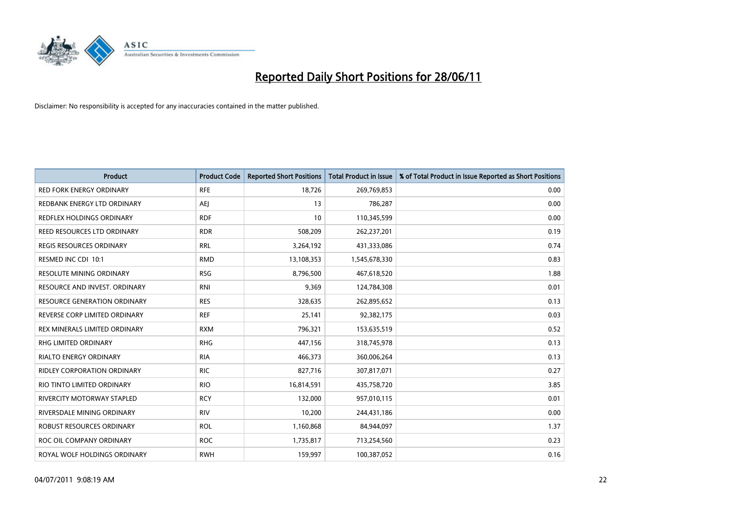

| <b>Product</b>                      | <b>Product Code</b> | <b>Reported Short Positions</b> | <b>Total Product in Issue</b> | % of Total Product in Issue Reported as Short Positions |
|-------------------------------------|---------------------|---------------------------------|-------------------------------|---------------------------------------------------------|
| <b>RED FORK ENERGY ORDINARY</b>     | <b>RFE</b>          | 18,726                          | 269,769,853                   | 0.00                                                    |
| REDBANK ENERGY LTD ORDINARY         | AEJ                 | 13                              | 786,287                       | 0.00                                                    |
| REDFLEX HOLDINGS ORDINARY           | <b>RDF</b>          | 10                              | 110,345,599                   | 0.00                                                    |
| REED RESOURCES LTD ORDINARY         | <b>RDR</b>          | 508,209                         | 262,237,201                   | 0.19                                                    |
| <b>REGIS RESOURCES ORDINARY</b>     | <b>RRL</b>          | 3,264,192                       | 431,333,086                   | 0.74                                                    |
| RESMED INC CDI 10:1                 | <b>RMD</b>          | 13,108,353                      | 1,545,678,330                 | 0.83                                                    |
| <b>RESOLUTE MINING ORDINARY</b>     | <b>RSG</b>          | 8,796,500                       | 467,618,520                   | 1.88                                                    |
| RESOURCE AND INVEST. ORDINARY       | <b>RNI</b>          | 9,369                           | 124,784,308                   | 0.01                                                    |
| <b>RESOURCE GENERATION ORDINARY</b> | <b>RES</b>          | 328,635                         | 262,895,652                   | 0.13                                                    |
| REVERSE CORP LIMITED ORDINARY       | <b>REF</b>          | 25,141                          | 92,382,175                    | 0.03                                                    |
| REX MINERALS LIMITED ORDINARY       | <b>RXM</b>          | 796,321                         | 153,635,519                   | 0.52                                                    |
| <b>RHG LIMITED ORDINARY</b>         | <b>RHG</b>          | 447,156                         | 318,745,978                   | 0.13                                                    |
| RIALTO ENERGY ORDINARY              | <b>RIA</b>          | 466,373                         | 360,006,264                   | 0.13                                                    |
| <b>RIDLEY CORPORATION ORDINARY</b>  | <b>RIC</b>          | 827,716                         | 307,817,071                   | 0.27                                                    |
| RIO TINTO LIMITED ORDINARY          | <b>RIO</b>          | 16,814,591                      | 435,758,720                   | 3.85                                                    |
| RIVERCITY MOTORWAY STAPLED          | <b>RCY</b>          | 132,000                         | 957,010,115                   | 0.01                                                    |
| RIVERSDALE MINING ORDINARY          | <b>RIV</b>          | 10,200                          | 244,431,186                   | 0.00                                                    |
| ROBUST RESOURCES ORDINARY           | <b>ROL</b>          | 1,160,868                       | 84,944,097                    | 1.37                                                    |
| ROC OIL COMPANY ORDINARY            | <b>ROC</b>          | 1,735,817                       | 713,254,560                   | 0.23                                                    |
| ROYAL WOLF HOLDINGS ORDINARY        | <b>RWH</b>          | 159,997                         | 100,387,052                   | 0.16                                                    |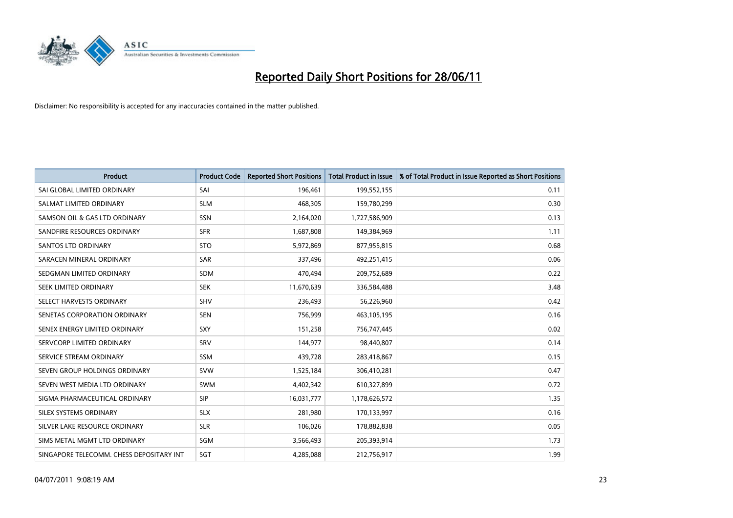

| <b>Product</b>                           | <b>Product Code</b> | <b>Reported Short Positions</b> | <b>Total Product in Issue</b> | % of Total Product in Issue Reported as Short Positions |
|------------------------------------------|---------------------|---------------------------------|-------------------------------|---------------------------------------------------------|
| SAI GLOBAL LIMITED ORDINARY              | SAI                 | 196,461                         | 199,552,155                   | 0.11                                                    |
| SALMAT LIMITED ORDINARY                  | <b>SLM</b>          | 468,305                         | 159,780,299                   | 0.30                                                    |
| SAMSON OIL & GAS LTD ORDINARY            | SSN                 | 2,164,020                       | 1,727,586,909                 | 0.13                                                    |
| SANDFIRE RESOURCES ORDINARY              | <b>SFR</b>          | 1,687,808                       | 149,384,969                   | 1.11                                                    |
| <b>SANTOS LTD ORDINARY</b>               | <b>STO</b>          | 5,972,869                       | 877,955,815                   | 0.68                                                    |
| SARACEN MINERAL ORDINARY                 | <b>SAR</b>          | 337,496                         | 492,251,415                   | 0.06                                                    |
| SEDGMAN LIMITED ORDINARY                 | <b>SDM</b>          | 470,494                         | 209,752,689                   | 0.22                                                    |
| SEEK LIMITED ORDINARY                    | <b>SEK</b>          | 11,670,639                      | 336,584,488                   | 3.48                                                    |
| SELECT HARVESTS ORDINARY                 | <b>SHV</b>          | 236,493                         | 56,226,960                    | 0.42                                                    |
| SENETAS CORPORATION ORDINARY             | <b>SEN</b>          | 756,999                         | 463,105,195                   | 0.16                                                    |
| SENEX ENERGY LIMITED ORDINARY            | <b>SXY</b>          | 151,258                         | 756,747,445                   | 0.02                                                    |
| SERVCORP LIMITED ORDINARY                | SRV                 | 144,977                         | 98,440,807                    | 0.14                                                    |
| SERVICE STREAM ORDINARY                  | SSM                 | 439,728                         | 283,418,867                   | 0.15                                                    |
| SEVEN GROUP HOLDINGS ORDINARY            | <b>SVW</b>          | 1,525,184                       | 306,410,281                   | 0.47                                                    |
| SEVEN WEST MEDIA LTD ORDINARY            | <b>SWM</b>          | 4,402,342                       | 610,327,899                   | 0.72                                                    |
| SIGMA PHARMACEUTICAL ORDINARY            | <b>SIP</b>          | 16,031,777                      | 1,178,626,572                 | 1.35                                                    |
| SILEX SYSTEMS ORDINARY                   | <b>SLX</b>          | 281,980                         | 170,133,997                   | 0.16                                                    |
| SILVER LAKE RESOURCE ORDINARY            | <b>SLR</b>          | 106,026                         | 178,882,838                   | 0.05                                                    |
| SIMS METAL MGMT LTD ORDINARY             | SGM                 | 3,566,493                       | 205,393,914                   | 1.73                                                    |
| SINGAPORE TELECOMM. CHESS DEPOSITARY INT | SGT                 | 4,285,088                       | 212,756,917                   | 1.99                                                    |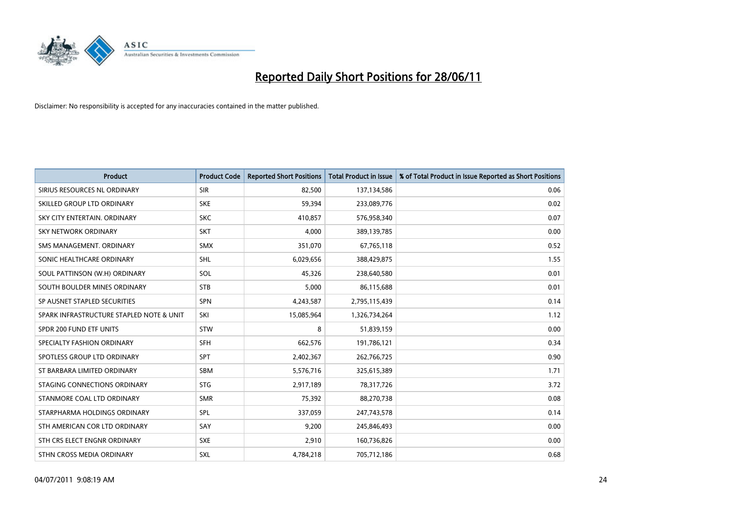

| <b>Product</b>                           | <b>Product Code</b> | <b>Reported Short Positions</b> | <b>Total Product in Issue</b> | % of Total Product in Issue Reported as Short Positions |
|------------------------------------------|---------------------|---------------------------------|-------------------------------|---------------------------------------------------------|
| SIRIUS RESOURCES NL ORDINARY             | <b>SIR</b>          | 82,500                          | 137,134,586                   | 0.06                                                    |
| SKILLED GROUP LTD ORDINARY               | <b>SKE</b>          | 59,394                          | 233,089,776                   | 0.02                                                    |
| SKY CITY ENTERTAIN, ORDINARY             | <b>SKC</b>          | 410,857                         | 576,958,340                   | 0.07                                                    |
| <b>SKY NETWORK ORDINARY</b>              | <b>SKT</b>          | 4,000                           | 389,139,785                   | 0.00                                                    |
| SMS MANAGEMENT, ORDINARY                 | <b>SMX</b>          | 351,070                         | 67,765,118                    | 0.52                                                    |
| SONIC HEALTHCARE ORDINARY                | <b>SHL</b>          | 6,029,656                       | 388,429,875                   | 1.55                                                    |
| SOUL PATTINSON (W.H) ORDINARY            | SOL                 | 45,326                          | 238,640,580                   | 0.01                                                    |
| SOUTH BOULDER MINES ORDINARY             | <b>STB</b>          | 5,000                           | 86,115,688                    | 0.01                                                    |
| SP AUSNET STAPLED SECURITIES             | <b>SPN</b>          | 4,243,587                       | 2,795,115,439                 | 0.14                                                    |
| SPARK INFRASTRUCTURE STAPLED NOTE & UNIT | SKI                 | 15,085,964                      | 1,326,734,264                 | 1.12                                                    |
| SPDR 200 FUND ETF UNITS                  | <b>STW</b>          | 8                               | 51,839,159                    | 0.00                                                    |
| SPECIALTY FASHION ORDINARY               | <b>SFH</b>          | 662,576                         | 191,786,121                   | 0.34                                                    |
| SPOTLESS GROUP LTD ORDINARY              | <b>SPT</b>          | 2,402,367                       | 262,766,725                   | 0.90                                                    |
| ST BARBARA LIMITED ORDINARY              | <b>SBM</b>          | 5,576,716                       | 325,615,389                   | 1.71                                                    |
| STAGING CONNECTIONS ORDINARY             | <b>STG</b>          | 2,917,189                       | 78,317,726                    | 3.72                                                    |
| STANMORE COAL LTD ORDINARY               | <b>SMR</b>          | 75,392                          | 88,270,738                    | 0.08                                                    |
| STARPHARMA HOLDINGS ORDINARY             | SPL                 | 337,059                         | 247,743,578                   | 0.14                                                    |
| STH AMERICAN COR LTD ORDINARY            | SAY                 | 9,200                           | 245,846,493                   | 0.00                                                    |
| STH CRS ELECT ENGNR ORDINARY             | <b>SXE</b>          | 2,910                           | 160,736,826                   | 0.00                                                    |
| STHN CROSS MEDIA ORDINARY                | <b>SXL</b>          | 4,784,218                       | 705,712,186                   | 0.68                                                    |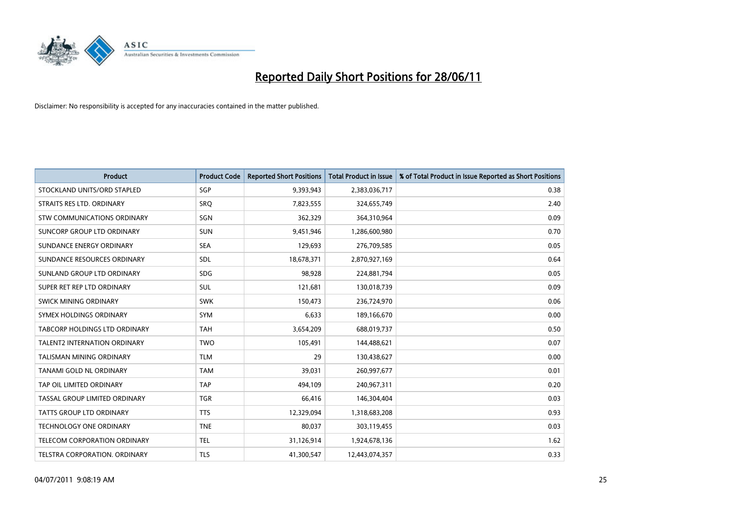

| <b>Product</b>                     | <b>Product Code</b> | <b>Reported Short Positions</b> | <b>Total Product in Issue</b> | % of Total Product in Issue Reported as Short Positions |
|------------------------------------|---------------------|---------------------------------|-------------------------------|---------------------------------------------------------|
| STOCKLAND UNITS/ORD STAPLED        | SGP                 | 9,393,943                       | 2,383,036,717                 | 0.38                                                    |
| STRAITS RES LTD. ORDINARY          | SRO                 | 7,823,555                       | 324,655,749                   | 2.40                                                    |
| <b>STW COMMUNICATIONS ORDINARY</b> | <b>SGN</b>          | 362,329                         | 364,310,964                   | 0.09                                                    |
| SUNCORP GROUP LTD ORDINARY         | <b>SUN</b>          | 9,451,946                       | 1,286,600,980                 | 0.70                                                    |
| SUNDANCE ENERGY ORDINARY           | <b>SEA</b>          | 129,693                         | 276,709,585                   | 0.05                                                    |
| SUNDANCE RESOURCES ORDINARY        | <b>SDL</b>          | 18,678,371                      | 2,870,927,169                 | 0.64                                                    |
| SUNLAND GROUP LTD ORDINARY         | <b>SDG</b>          | 98.928                          | 224,881,794                   | 0.05                                                    |
| SUPER RET REP LTD ORDINARY         | <b>SUL</b>          | 121,681                         | 130,018,739                   | 0.09                                                    |
| SWICK MINING ORDINARY              | <b>SWK</b>          | 150,473                         | 236,724,970                   | 0.06                                                    |
| SYMEX HOLDINGS ORDINARY            | <b>SYM</b>          | 6,633                           | 189,166,670                   | 0.00                                                    |
| TABCORP HOLDINGS LTD ORDINARY      | <b>TAH</b>          | 3,654,209                       | 688,019,737                   | 0.50                                                    |
| TALENT2 INTERNATION ORDINARY       | <b>TWO</b>          | 105,491                         | 144,488,621                   | 0.07                                                    |
| TALISMAN MINING ORDINARY           | <b>TLM</b>          | 29                              | 130,438,627                   | 0.00                                                    |
| TANAMI GOLD NL ORDINARY            | <b>TAM</b>          | 39,031                          | 260,997,677                   | 0.01                                                    |
| TAP OIL LIMITED ORDINARY           | <b>TAP</b>          | 494,109                         | 240,967,311                   | 0.20                                                    |
| TASSAL GROUP LIMITED ORDINARY      | <b>TGR</b>          | 66,416                          | 146,304,404                   | 0.03                                                    |
| <b>TATTS GROUP LTD ORDINARY</b>    | <b>TTS</b>          | 12,329,094                      | 1,318,683,208                 | 0.93                                                    |
| TECHNOLOGY ONE ORDINARY            | <b>TNE</b>          | 80,037                          | 303,119,455                   | 0.03                                                    |
| TELECOM CORPORATION ORDINARY       | <b>TEL</b>          | 31,126,914                      | 1,924,678,136                 | 1.62                                                    |
| TELSTRA CORPORATION, ORDINARY      | <b>TLS</b>          | 41,300,547                      | 12,443,074,357                | 0.33                                                    |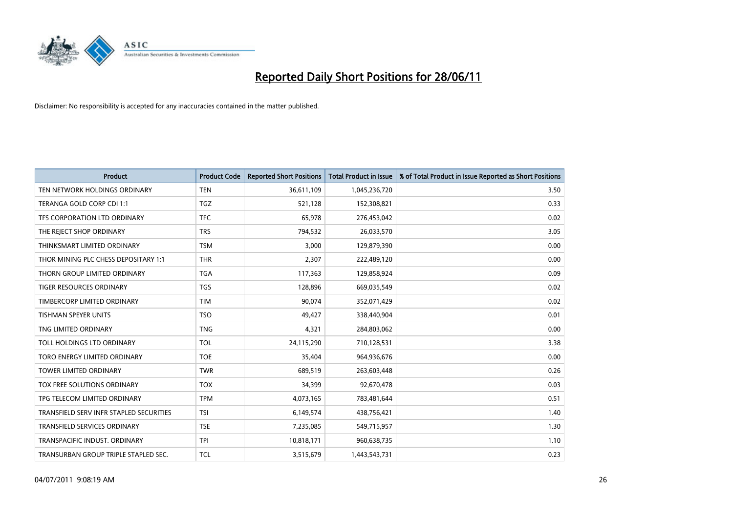

| <b>Product</b>                          | <b>Product Code</b> | <b>Reported Short Positions</b> | <b>Total Product in Issue</b> | % of Total Product in Issue Reported as Short Positions |
|-----------------------------------------|---------------------|---------------------------------|-------------------------------|---------------------------------------------------------|
| TEN NETWORK HOLDINGS ORDINARY           | <b>TEN</b>          | 36,611,109                      | 1,045,236,720                 | 3.50                                                    |
| TERANGA GOLD CORP CDI 1:1               | <b>TGZ</b>          | 521,128                         | 152,308,821                   | 0.33                                                    |
| TFS CORPORATION LTD ORDINARY            | <b>TFC</b>          | 65,978                          | 276,453,042                   | 0.02                                                    |
| THE REJECT SHOP ORDINARY                | <b>TRS</b>          | 794,532                         | 26,033,570                    | 3.05                                                    |
| THINKSMART LIMITED ORDINARY             | <b>TSM</b>          | 3,000                           | 129,879,390                   | 0.00                                                    |
| THOR MINING PLC CHESS DEPOSITARY 1:1    | <b>THR</b>          | 2,307                           | 222,489,120                   | 0.00                                                    |
| THORN GROUP LIMITED ORDINARY            | <b>TGA</b>          | 117,363                         | 129,858,924                   | 0.09                                                    |
| TIGER RESOURCES ORDINARY                | <b>TGS</b>          | 128,896                         | 669,035,549                   | 0.02                                                    |
| TIMBERCORP LIMITED ORDINARY             | <b>TIM</b>          | 90,074                          | 352,071,429                   | 0.02                                                    |
| <b>TISHMAN SPEYER UNITS</b>             | <b>TSO</b>          | 49,427                          | 338,440,904                   | 0.01                                                    |
| TNG LIMITED ORDINARY                    | <b>TNG</b>          | 4,321                           | 284,803,062                   | 0.00                                                    |
| TOLL HOLDINGS LTD ORDINARY              | <b>TOL</b>          | 24,115,290                      | 710,128,531                   | 3.38                                                    |
| TORO ENERGY LIMITED ORDINARY            | <b>TOE</b>          | 35,404                          | 964,936,676                   | 0.00                                                    |
| <b>TOWER LIMITED ORDINARY</b>           | <b>TWR</b>          | 689,519                         | 263,603,448                   | 0.26                                                    |
| TOX FREE SOLUTIONS ORDINARY             | <b>TOX</b>          | 34,399                          | 92,670,478                    | 0.03                                                    |
| TPG TELECOM LIMITED ORDINARY            | <b>TPM</b>          | 4,073,165                       | 783,481,644                   | 0.51                                                    |
| TRANSFIELD SERV INFR STAPLED SECURITIES | <b>TSI</b>          | 6,149,574                       | 438,756,421                   | 1.40                                                    |
| TRANSFIELD SERVICES ORDINARY            | <b>TSE</b>          | 7,235,085                       | 549,715,957                   | 1.30                                                    |
| TRANSPACIFIC INDUST, ORDINARY           | <b>TPI</b>          | 10,818,171                      | 960,638,735                   | 1.10                                                    |
| TRANSURBAN GROUP TRIPLE STAPLED SEC.    | <b>TCL</b>          | 3,515,679                       | 1,443,543,731                 | 0.23                                                    |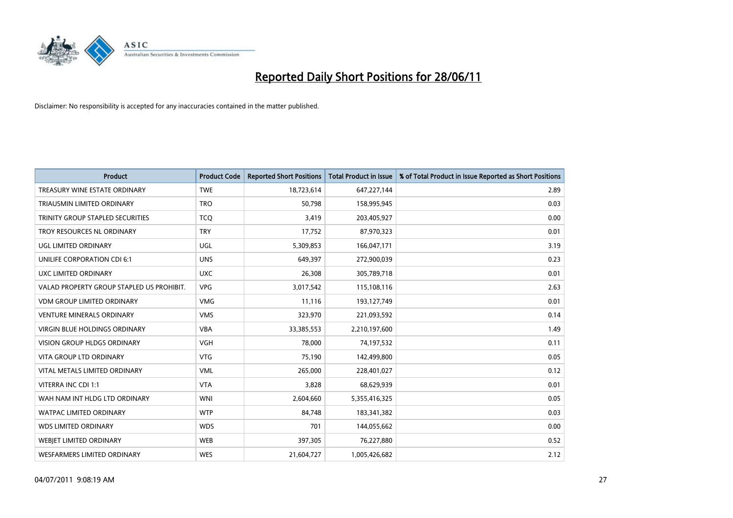

| <b>Product</b>                            | <b>Product Code</b> | <b>Reported Short Positions</b> | <b>Total Product in Issue</b> | % of Total Product in Issue Reported as Short Positions |
|-------------------------------------------|---------------------|---------------------------------|-------------------------------|---------------------------------------------------------|
| TREASURY WINE ESTATE ORDINARY             | <b>TWE</b>          | 18,723,614                      | 647,227,144                   | 2.89                                                    |
| TRIAUSMIN LIMITED ORDINARY                | <b>TRO</b>          | 50,798                          | 158,995,945                   | 0.03                                                    |
| TRINITY GROUP STAPLED SECURITIES          | <b>TCO</b>          | 3,419                           | 203,405,927                   | 0.00                                                    |
| TROY RESOURCES NL ORDINARY                | <b>TRY</b>          | 17,752                          | 87,970,323                    | 0.01                                                    |
| <b>UGL LIMITED ORDINARY</b>               | UGL                 | 5,309,853                       | 166,047,171                   | 3.19                                                    |
| UNILIFE CORPORATION CDI 6:1               | <b>UNS</b>          | 649,397                         | 272,900,039                   | 0.23                                                    |
| UXC LIMITED ORDINARY                      | <b>UXC</b>          | 26,308                          | 305,789,718                   | 0.01                                                    |
| VALAD PROPERTY GROUP STAPLED US PROHIBIT. | <b>VPG</b>          | 3,017,542                       | 115,108,116                   | 2.63                                                    |
| <b>VDM GROUP LIMITED ORDINARY</b>         | <b>VMG</b>          | 11,116                          | 193,127,749                   | 0.01                                                    |
| <b>VENTURE MINERALS ORDINARY</b>          | <b>VMS</b>          | 323,970                         | 221,093,592                   | 0.14                                                    |
| VIRGIN BLUE HOLDINGS ORDINARY             | <b>VBA</b>          | 33,385,553                      | 2,210,197,600                 | 1.49                                                    |
| <b>VISION GROUP HLDGS ORDINARY</b>        | <b>VGH</b>          | 78,000                          | 74,197,532                    | 0.11                                                    |
| <b>VITA GROUP LTD ORDINARY</b>            | <b>VTG</b>          | 75,190                          | 142,499,800                   | 0.05                                                    |
| VITAL METALS LIMITED ORDINARY             | <b>VML</b>          | 265,000                         | 228,401,027                   | 0.12                                                    |
| VITERRA INC CDI 1:1                       | <b>VTA</b>          | 3,828                           | 68,629,939                    | 0.01                                                    |
| WAH NAM INT HLDG LTD ORDINARY             | <b>WNI</b>          | 2,604,660                       | 5,355,416,325                 | 0.05                                                    |
| WATPAC LIMITED ORDINARY                   | <b>WTP</b>          | 84,748                          | 183,341,382                   | 0.03                                                    |
| <b>WDS LIMITED ORDINARY</b>               | <b>WDS</b>          | 701                             | 144,055,662                   | 0.00                                                    |
| WEBJET LIMITED ORDINARY                   | <b>WEB</b>          | 397,305                         | 76,227,880                    | 0.52                                                    |
| <b>WESFARMERS LIMITED ORDINARY</b>        | <b>WES</b>          | 21,604,727                      | 1,005,426,682                 | 2.12                                                    |